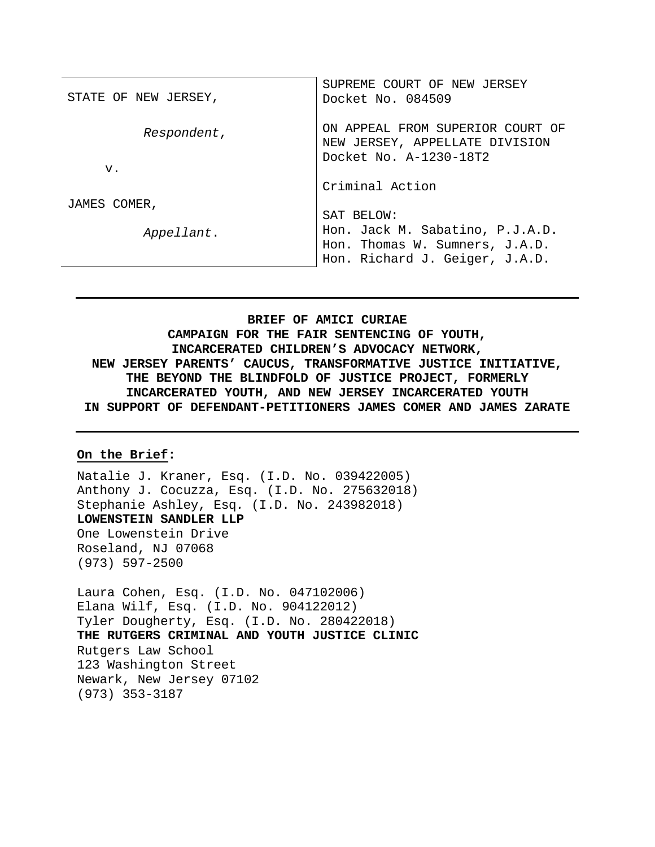| STATE OF NEW JERSEY, | SUPREME COURT OF NEW JERSEY<br>Docket No. 084509                                             |
|----------------------|----------------------------------------------------------------------------------------------|
| Respondent,          | ON APPEAL FROM SUPERIOR COURT OF<br>NEW JERSEY, APPELLATE DIVISION<br>Docket No. A-1230-18T2 |
| V <sub>1</sub>       |                                                                                              |
|                      | Criminal Action                                                                              |
| JAMES COMER,         |                                                                                              |
|                      | SAT BELOW:                                                                                   |
| Appellant.           | Hon. Jack M. Sabatino, P.J.A.D.                                                              |
|                      | Hon. Thomas W. Sumners, J.A.D.                                                               |
|                      | Hon. Richard J. Geiger, J.A.D.                                                               |

**BRIEF OF AMICI CURIAE CAMPAIGN FOR THE FAIR SENTENCING OF YOUTH, INCARCERATED CHILDREN'S ADVOCACY NETWORK, NEW JERSEY PARENTS' CAUCUS, TRANSFORMATIVE JUSTICE INITIATIVE, THE BEYOND THE BLINDFOLD OF JUSTICE PROJECT, FORMERLY INCARCERATED YOUTH, AND NEW JERSEY INCARCERATED YOUTH IN SUPPORT OF DEFENDANT-PETITIONERS JAMES COMER AND JAMES ZARATE**

#### **On the Brief:**

Natalie J. Kraner, Esq. (I.D. No. 039422005) Anthony J. Cocuzza, Esq. (I.D. No. 275632018) Stephanie Ashley, Esq*.* (I.D. No. 243982018) **LOWENSTEIN SANDLER LLP** One Lowenstein Drive Roseland, NJ 07068 (973) 597-2500

Laura Cohen, Esq. (I.D. No. 047102006) Elana Wilf, Esq. (I.D. No. 904122012) Tyler Dougherty, Esq. (I.D. No. 280422018) **THE RUTGERS CRIMINAL AND YOUTH JUSTICE CLINIC** Rutgers Law School 123 Washington Street Newark, New Jersey 07102 (973) 353-3187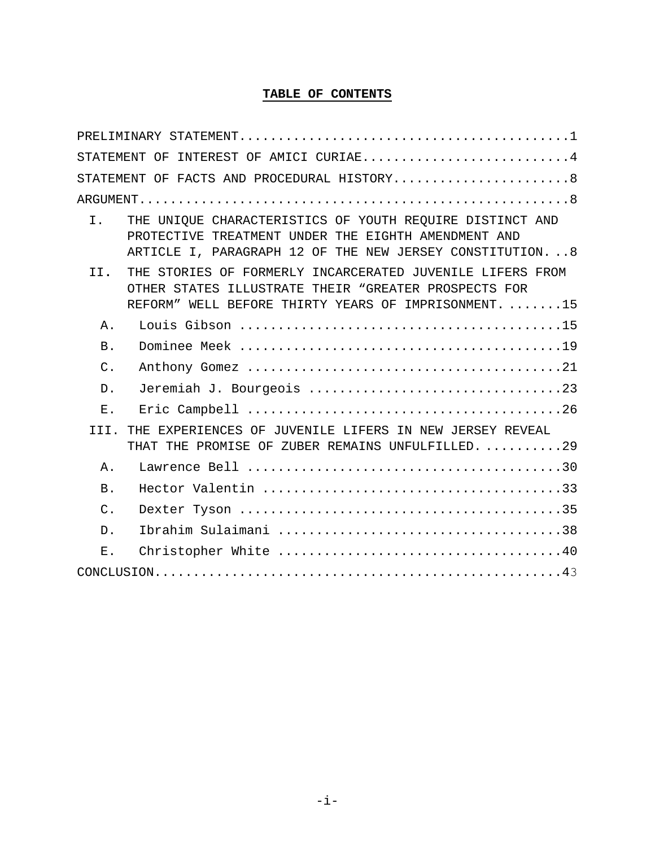### **TABLE OF CONTENTS**

|                | STATEMENT OF INTEREST OF AMICI CURIAE4                                                                                                                                       |
|----------------|------------------------------------------------------------------------------------------------------------------------------------------------------------------------------|
|                | STATEMENT OF FACTS AND PROCEDURAL HISTORY8                                                                                                                                   |
|                |                                                                                                                                                                              |
| I.             | THE UNIOUE CHARACTERISTICS OF YOUTH REQUIRE DISTINCT AND<br>PROTECTIVE TREATMENT UNDER THE EIGHTH AMENDMENT AND<br>ARTICLE I, PARAGRAPH 12 OF THE NEW JERSEY CONSTITUTION. 8 |
| TT.            | THE STORIES OF FORMERLY INCARCERATED JUVENILE LIFERS FROM<br>OTHER STATES ILLUSTRATE THEIR "GREATER PROSPECTS FOR<br>REFORM" WELL BEFORE THIRTY YEARS OF IMPRISONMENT15      |
| Α.             |                                                                                                                                                                              |
| B.             |                                                                                                                                                                              |
| $C$ .          |                                                                                                                                                                              |
| $D$ .          | Jeremiah J. Bourgeois 23                                                                                                                                                     |
| Ε.             |                                                                                                                                                                              |
| TTT.           | THE EXPERIENCES OF JUVENILE LIFERS IN NEW JERSEY REVEAL<br>THAT THE PROMISE OF ZUBER REMAINS UNFULFILLED. 29                                                                 |
| Α.             |                                                                                                                                                                              |
| B.             |                                                                                                                                                                              |
| $\mathsf{C}$ . |                                                                                                                                                                              |
| $D$ .          |                                                                                                                                                                              |
| $E$ .          |                                                                                                                                                                              |
|                |                                                                                                                                                                              |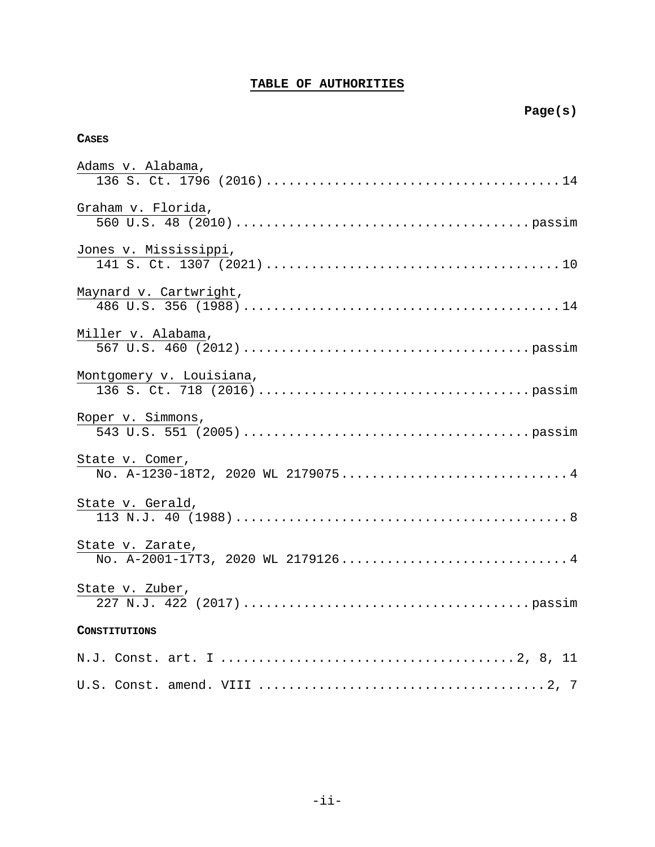# **TABLE OF AUTHORITIES**

# **CASES**

| Adams v. Alabama,                                                   |
|---------------------------------------------------------------------|
| Graham v. Florida,                                                  |
| Jones v. Mississippi,                                               |
| Maynard v. Cartwright,                                              |
| Miller v. Alabama,                                                  |
| Montgomery v. Louisiana,                                            |
| Roper v. Simmons,                                                   |
| State v. Comer,<br>No. A-1230-18T2, 2020 WL 21790754                |
| State v. Gerald,                                                    |
| State v. Zarate,<br>$\overline{N}$ o. A-2001-17T3, 2020 WL 21791264 |
| State v. Zuber,                                                     |
| CONSTITUTIONS                                                       |
|                                                                     |
|                                                                     |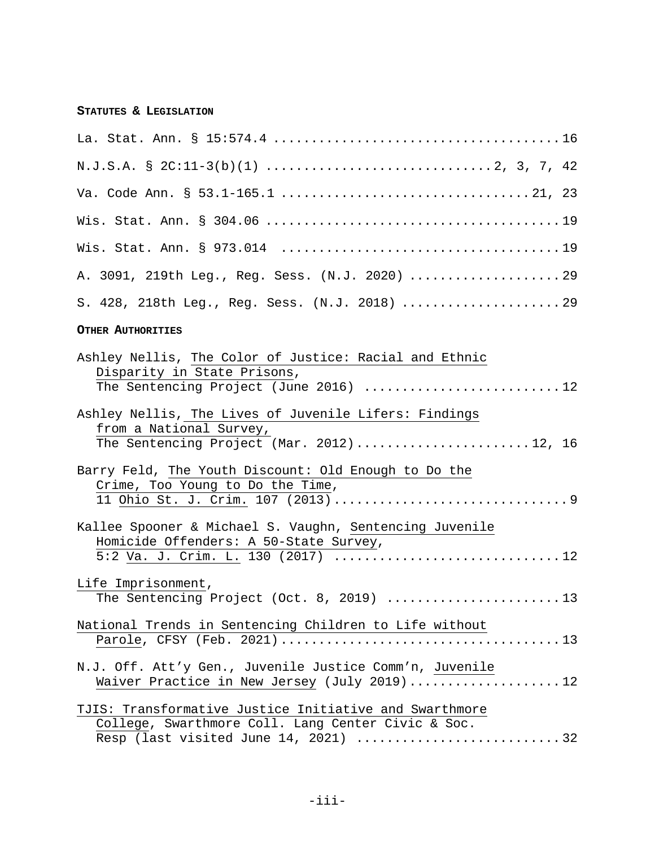# **STATUTES & LEGISLATION**

| A. 3091, 219th Leg., Reg. Sess. (N.J. 2020)  29                                                                                        |
|----------------------------------------------------------------------------------------------------------------------------------------|
| S. 428, 218th Leg., Reg. Sess. (N.J. 2018)  29                                                                                         |
| <b>OTHER AUTHORITIES</b>                                                                                                               |
| Ashley Nellis, The Color of Justice: Racial and Ethnic<br>Disparity in State Prisons,<br>The Sentencing Project (June 2016) 12         |
| Ashley Nellis, The Lives of Juvenile Lifers: Findings<br>from a National Survey,<br>The Sentencing Project (Mar. 2012)12, 16           |
| Barry Feld, The Youth Discount: Old Enough to Do the<br>Crime, Too Young to Do the Time,                                               |
| Kallee Spooner & Michael S. Vaughn, Sentencing Juvenile<br>Homicide Offenders: A 50-State Survey,<br>5:2 Va. J. Crim. L. 130 (2017) 12 |
| Life Imprisonment,<br>The Sentencing Project (Oct. 8, 2019) 13                                                                         |
| National Trends in Sentencing Children to Life without                                                                                 |
| N.J. Off. Att'y Gen., Juvenile Justice Comm'n, Juvenile<br>Waiver Practice in New Jersey (July 2019)12                                 |
| TJIS: Transformative Justice Initiative and Swarthmore<br>College, Swarthmore Coll. Lang Center Civic & Soc.                           |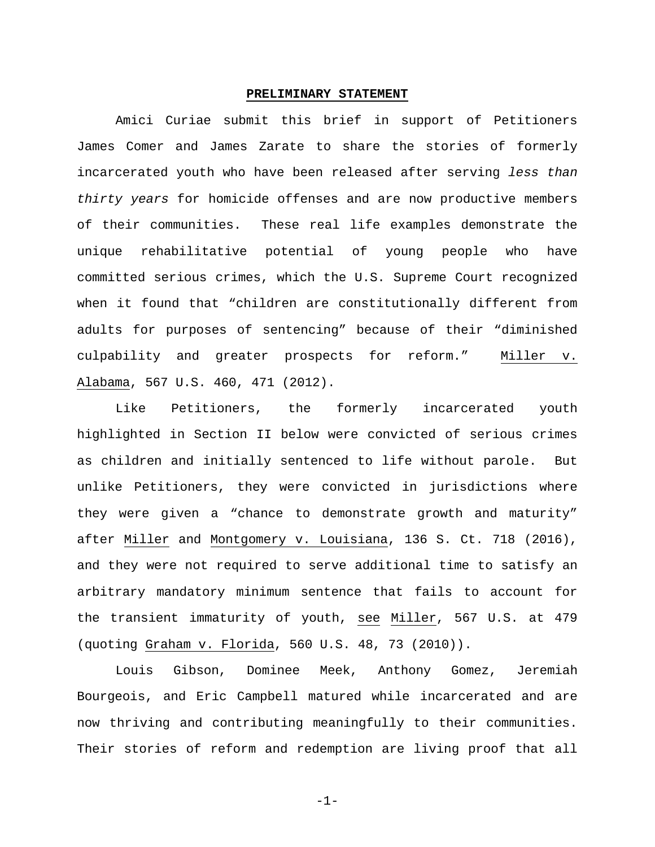#### <span id="page-4-2"></span>**PRELIMINARY STATEMENT**

<span id="page-4-0"></span>Amici Curiae submit this brief in support of Petitioners James Comer and James Zarate to share the stories of formerly incarcerated youth who have been released after serving *less than thirty years* for homicide offenses and are now productive members of their communities. These real life examples demonstrate the unique rehabilitative potential of young people who have committed serious crimes, which the U.S. Supreme Court recognized when it found that "children are constitutionally different from adults for purposes of sentencing" because of their "diminished culpability and greater prospects for reform." Miller v. Alabama, 567 U.S. 460, 471 (2012).

<span id="page-4-3"></span>Like Petitioners, the formerly incarcerated youth highlighted in Section II below were convicted of serious crimes as children and initially sentenced to life without parole. But unlike Petitioners, they were convicted in jurisdictions where they were given a "chance to demonstrate growth and maturity" after Miller and Montgomery v. Louisiana, 136 S. Ct. 718 (2016), and they were not required to serve additional time to satisfy an arbitrary mandatory minimum sentence that fails to account for the transient immaturity of youth, see Miller, 567 U.S. at 479 (quoting Graham v. Florida, 560 U.S. 48, 73 (2010)).

<span id="page-4-1"></span>Louis Gibson, Dominee Meek, Anthony Gomez, Jeremiah Bourgeois, and Eric Campbell matured while incarcerated and are now thriving and contributing meaningfully to their communities. Their stories of reform and redemption are living proof that all

-1-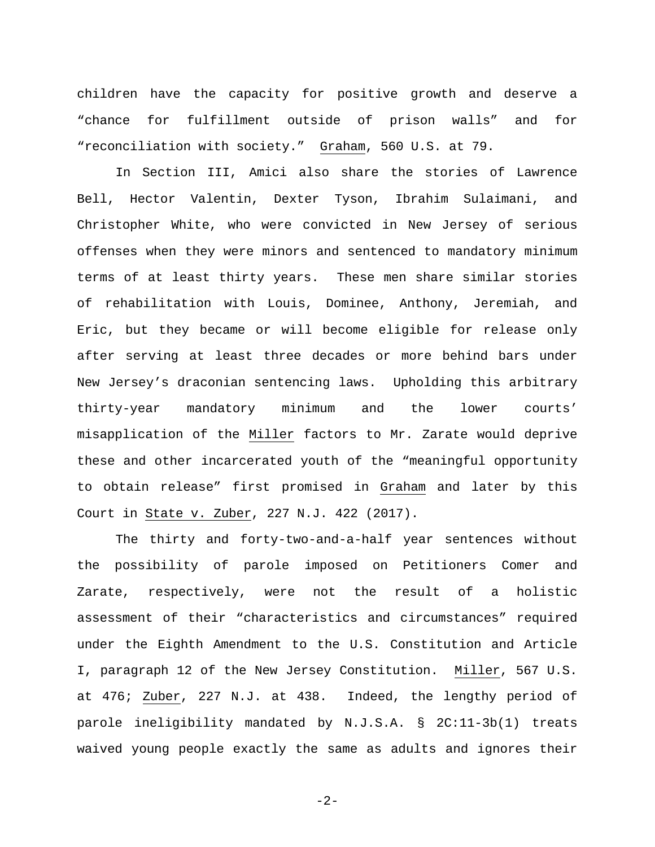children have the capacity for positive growth and deserve a "chance for fulfillment outside of prison walls" and for "reconciliation with society." Graham, 560 U.S. at 79.

In Section III, Amici also share the stories of Lawrence Bell, Hector Valentin, Dexter Tyson, Ibrahim Sulaimani, and Christopher White, who were convicted in New Jersey of serious offenses when they were minors and sentenced to mandatory minimum terms of at least thirty years. These men share similar stories of rehabilitation with Louis, Dominee, Anthony, Jeremiah, and Eric, but they became or will become eligible for release only after serving at least three decades or more behind bars under New Jersey's draconian sentencing laws. Upholding this arbitrary thirty-year mandatory minimum and the lower courts' misapplication of the Miller factors to Mr. Zarate would deprive these and other incarcerated youth of the "meaningful opportunity to obtain release" first promised in Graham and later by this Court in State v. Zuber, 227 N.J. 422 (2017).

<span id="page-5-2"></span><span id="page-5-0"></span>The thirty and forty-two-and-a-half year sentences without the possibility of parole imposed on Petitioners Comer and Zarate, respectively, were not the result of a holistic assessment of their "characteristics and circumstances" required under the Eighth Amendment to the U.S. Constitution and Article I, paragraph 12 of the New Jersey Constitution. Miller, 567 U.S. at 476; Zuber, 227 N.J. at 438. Indeed, the lengthy period of parole ineligibility mandated by N.J.S.A. § 2C:11-3b(1) treats waived young people exactly the same as adults and ignores their

<span id="page-5-1"></span>-2-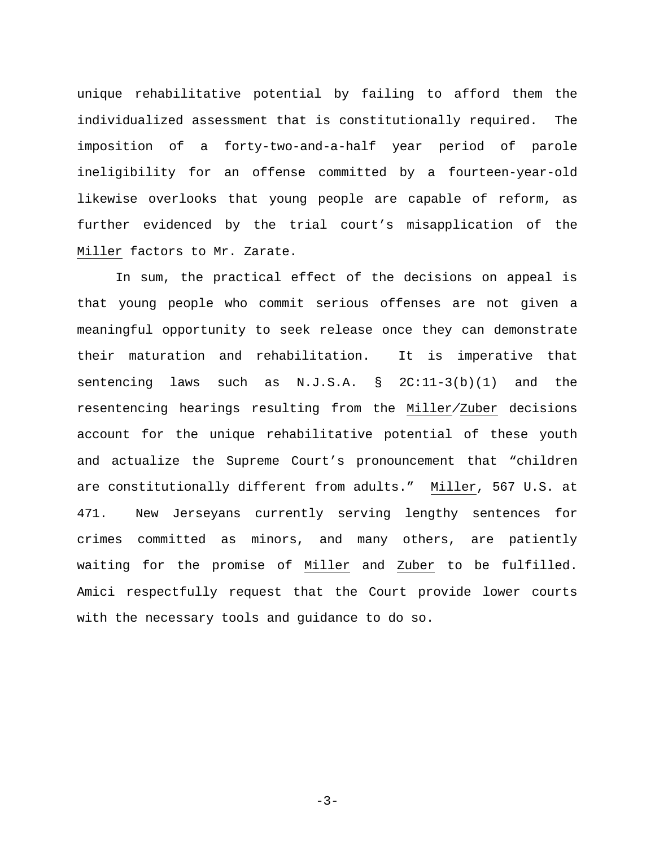unique rehabilitative potential by failing to afford them the individualized assessment that is constitutionally required. The imposition of a forty-two-and-a-half year period of parole ineligibility for an offense committed by a fourteen-year-old likewise overlooks that young people are capable of reform, as further evidenced by the trial court's misapplication of the Miller factors to Mr. Zarate.

In sum, the practical effect of the decisions on appeal is that young people who commit serious offenses are not given a meaningful opportunity to seek release once they can demonstrate their maturation and rehabilitation. It is imperative that sentencing laws such as N.J.S.A. § 2C:11-3(b)(1) and the resentencing hearings resulting from the Miller*/*Zuber decisions account for the unique rehabilitative potential of these youth and actualize the Supreme Court's pronouncement that "children are constitutionally different from adults." Miller, 567 U.S. at 471. New Jerseyans currently serving lengthy sentences for crimes committed as minors, and many others, are patiently waiting for the promise of Miller and Zuber to be fulfilled. Amici respectfully request that the Court provide lower courts with the necessary tools and guidance to do so.

 $-3-$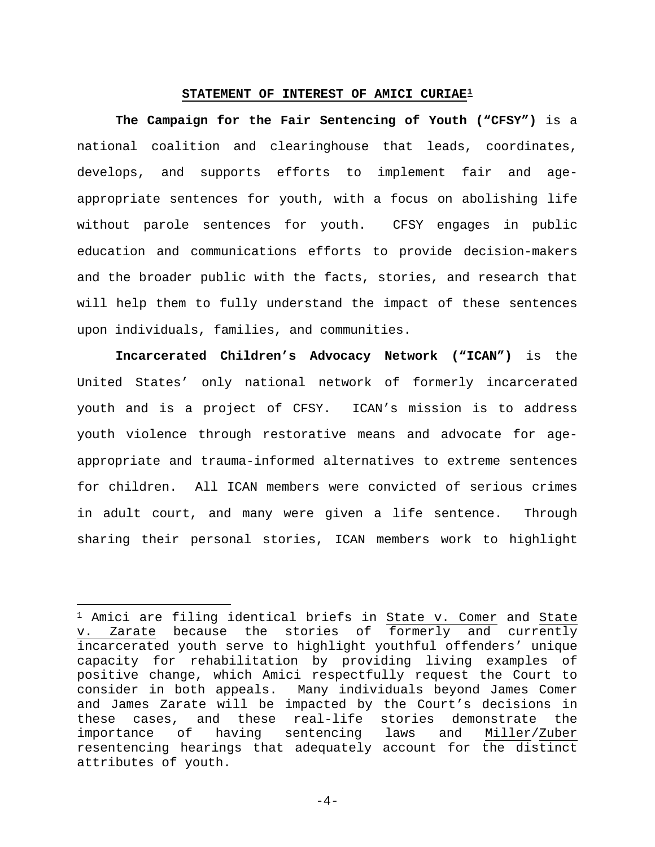#### **STATEMENT OF INTEREST OF AMICI CURIAE[1](#page-7-3)**

<span id="page-7-0"></span>**The Campaign for the Fair Sentencing of Youth ("CFSY")** is a national coalition and clearinghouse that leads, coordinates, develops, and supports efforts to implement fair and ageappropriate sentences for youth, with a focus on abolishing life without parole sentences for youth. CFSY engages in public education and communications efforts to provide decision-makers and the broader public with the facts, stories, and research that will help them to fully understand the impact of these sentences upon individuals, families, and communities.

**Incarcerated Children's Advocacy Network ("ICAN")** is the United States' only national network of formerly incarcerated youth and is a project of CFSY. ICAN's mission is to address youth violence through restorative means and advocate for ageappropriate and trauma-informed alternatives to extreme sentences for children. All ICAN members were convicted of serious crimes in adult court, and many were given a life sentence. Through sharing their personal stories, ICAN members work to highlight

l

<span id="page-7-2"></span><span id="page-7-1"></span> $-4-$ 

<span id="page-7-3"></span><sup>1</sup> Amici are filing identical briefs in State v. Comer and State v. Zarate because the stories of formerly and currently incarcerated youth serve to highlight youthful offenders' unique capacity for rehabilitation by providing living examples of positive change, which Amici respectfully request the Court to consider in both appeals. Many individuals beyond James Comer and James Zarate will be impacted by the Court's decisions in these cases, and these real-life stories demonstrate the importance of having sentencing laws and Miller/Zuber resentencing hearings that adequately account for the distinct attributes of youth.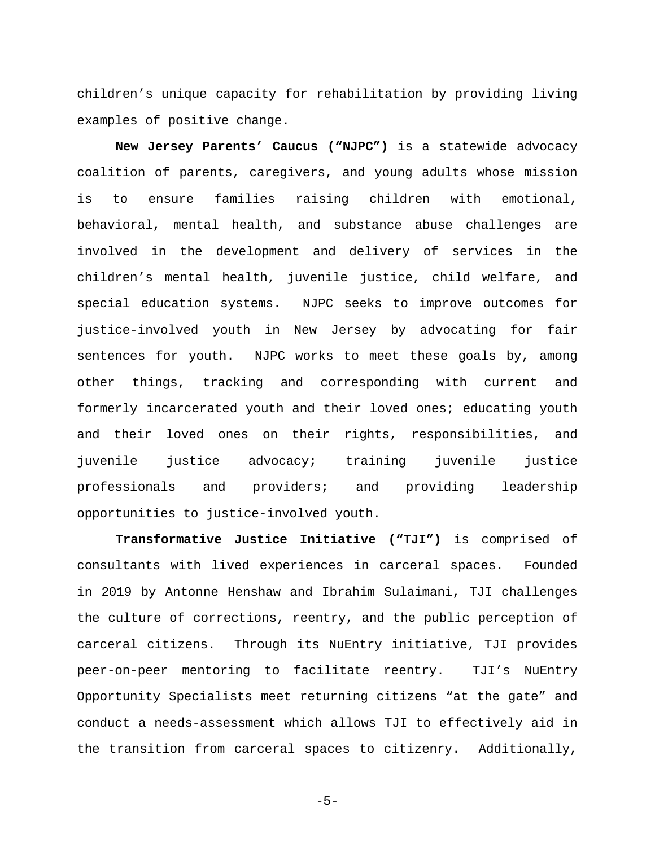children's unique capacity for rehabilitation by providing living examples of positive change.

**New Jersey Parents' Caucus ("NJPC")** is a statewide advocacy coalition of parents, caregivers, and young adults whose mission is to ensure families raising children with emotional, behavioral, mental health, and substance abuse challenges are involved in the development and delivery of services in the children's mental health, juvenile justice, child welfare, and special education systems. NJPC seeks to improve outcomes for justice-involved youth in New Jersey by advocating for fair sentences for youth. NJPC works to meet these goals by, among other things, tracking and corresponding with current and formerly incarcerated youth and their loved ones; educating youth and their loved ones on their rights, responsibilities, and juvenile justice advocacy; training juvenile justice professionals and providers; and providing leadership opportunities to justice-involved youth.

**Transformative Justice Initiative ("TJI")** is comprised of consultants with lived experiences in carceral spaces. Founded in 2019 by Antonne Henshaw and Ibrahim Sulaimani, TJI challenges the culture of corrections, reentry, and the public perception of carceral citizens. Through its NuEntry initiative, TJI provides peer-on-peer mentoring to facilitate reentry. TJI's NuEntry Opportunity Specialists meet returning citizens "at the gate" and conduct a needs-assessment which allows TJI to effectively aid in the transition from carceral spaces to citizenry. Additionally,

-5-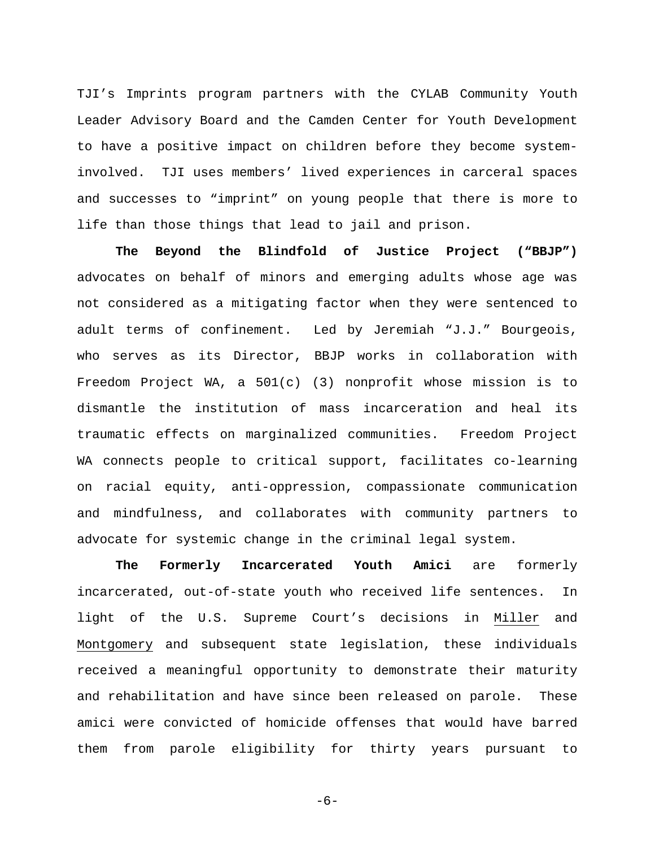TJI's Imprints program partners with the CYLAB Community Youth Leader Advisory Board and the Camden Center for Youth Development to have a positive impact on children before they become systeminvolved. TJI uses members' lived experiences in carceral spaces and successes to "imprint" on young people that there is more to life than those things that lead to jail and prison.

**The Beyond the Blindfold of Justice Project ("BBJP")** advocates on behalf of minors and emerging adults whose age was not considered as a mitigating factor when they were sentenced to adult terms of confinement. Led by Jeremiah "J.J." Bourgeois, who serves as its Director, BBJP works in collaboration with Freedom Project WA, a 501(c) (3) nonprofit whose mission is to dismantle the institution of mass incarceration and heal its traumatic effects on marginalized communities. Freedom Project WA connects people to critical support, facilitates co-learning on racial equity, anti-oppression, compassionate communication and mindfulness, and collaborates with community partners to advocate for systemic change in the criminal legal system.

**The Formerly Incarcerated Youth Amici** are formerly incarcerated, out-of-state youth who received life sentences. In light of the U.S. Supreme Court's decisions in Miller and Montgomery and subsequent state legislation, these individuals received a meaningful opportunity to demonstrate their maturity and rehabilitation and have since been released on parole. These amici were convicted of homicide offenses that would have barred them from parole eligibility for thirty years pursuant to

-6-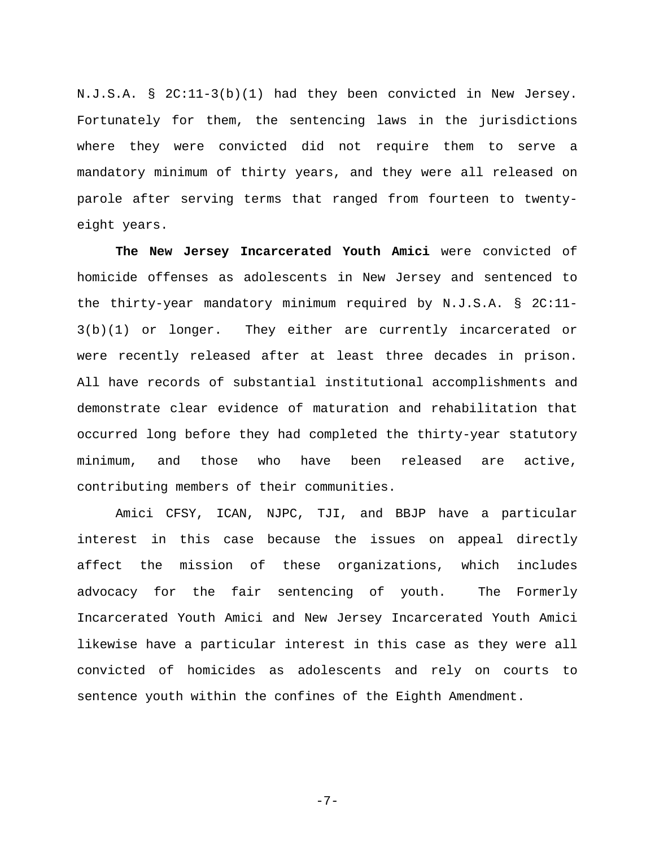N.J.S.A. § 2C:11-3(b)(1) had they been convicted in New Jersey. Fortunately for them, the sentencing laws in the jurisdictions where they were convicted did not require them to serve a mandatory minimum of thirty years, and they were all released on parole after serving terms that ranged from fourteen to twentyeight years.

<span id="page-10-1"></span>**The New Jersey Incarcerated Youth Amici** were convicted of homicide offenses as adolescents in New Jersey and sentenced to the thirty-year mandatory minimum required by N.J.S.A. § 2C:11- 3(b)(1) or longer. They either are currently incarcerated or were recently released after at least three decades in prison. All have records of substantial institutional accomplishments and demonstrate clear evidence of maturation and rehabilitation that occurred long before they had completed the thirty-year statutory minimum, and those who have been released are active, contributing members of their communities.

Amici CFSY, ICAN, NJPC, TJI, and BBJP have a particular interest in this case because the issues on appeal directly affect the mission of these organizations, which includes advocacy for the fair sentencing of youth. The Formerly Incarcerated Youth Amici and New Jersey Incarcerated Youth Amici likewise have a particular interest in this case as they were all convicted of homicides as adolescents and rely on courts to sentence youth within the confines of the Eighth Amendment.

<span id="page-10-0"></span>-7-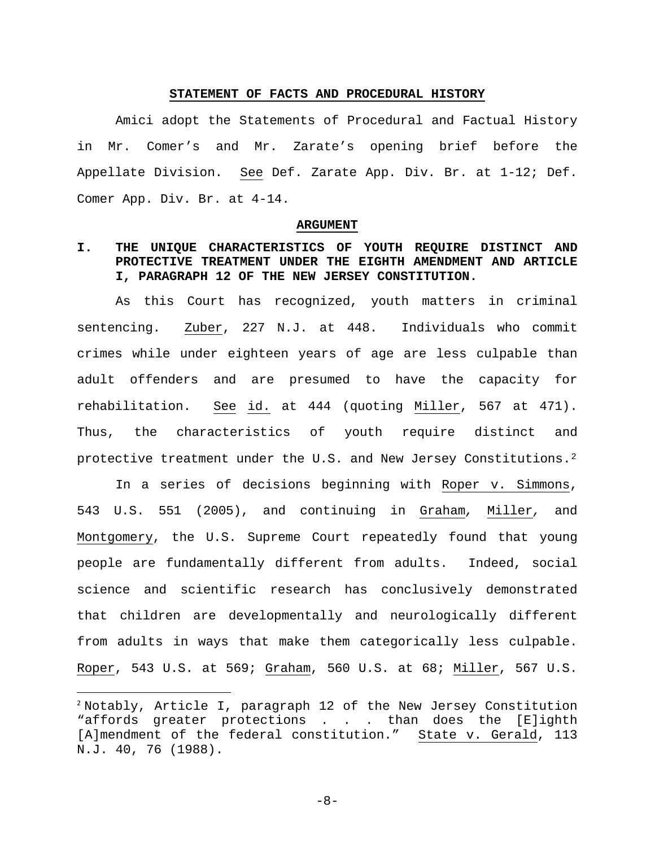### **STATEMENT OF FACTS AND PROCEDURAL HISTORY**

<span id="page-11-0"></span>Amici adopt the Statements of Procedural and Factual History in Mr. Comer's and Mr. Zarate's opening brief before the Appellate Division. See Def. Zarate App. Div. Br. at 1-12; Def. Comer App. Div. Br. at 4-14.

#### <span id="page-11-3"></span>**ARGUMENT**

# <span id="page-11-2"></span><span id="page-11-1"></span>**I. THE UNIQUE CHARACTERISTICS OF YOUTH REQUIRE DISTINCT AND PROTECTIVE TREATMENT UNDER THE EIGHTH AMENDMENT AND ARTICLE I, PARAGRAPH 12 OF THE NEW JERSEY CONSTITUTION.**

As this Court has recognized, youth matters in criminal sentencing. Zuber, 227 N.J. at 448. Individuals who commit crimes while under eighteen years of age are less culpable than adult offenders and are presumed to have the capacity for rehabilitation. See id. at 444 (quoting Miller, 567 at 471). Thus, the characteristics of youth require distinct and protective treatment under the U.S. and New Jersey Constitutions.[2](#page-11-6)

In a series of decisions beginning with Roper v. Simmons, 543 U.S. 551 (2005), and continuing in Graham*,* Miller*,* and Montgomery, the U.S. Supreme Court repeatedly found that young people are fundamentally different from adults. Indeed, social science and scientific research has conclusively demonstrated that children are developmentally and neurologically different from adults in ways that make them categorically less culpable. Roper, 543 U.S. at 569; Graham, 560 U.S. at 68; Miller, 567 U.S.

<span id="page-11-4"></span>-8-

<span id="page-11-6"></span><span id="page-11-5"></span> <sup>2</sup> Notably, Article I, paragraph 12 of the New Jersey Constitution "affords greater protections . . . than does the [E]ighth [A]mendment of the federal constitution." State v. Gerald, 113 N.J. 40, 76 (1988).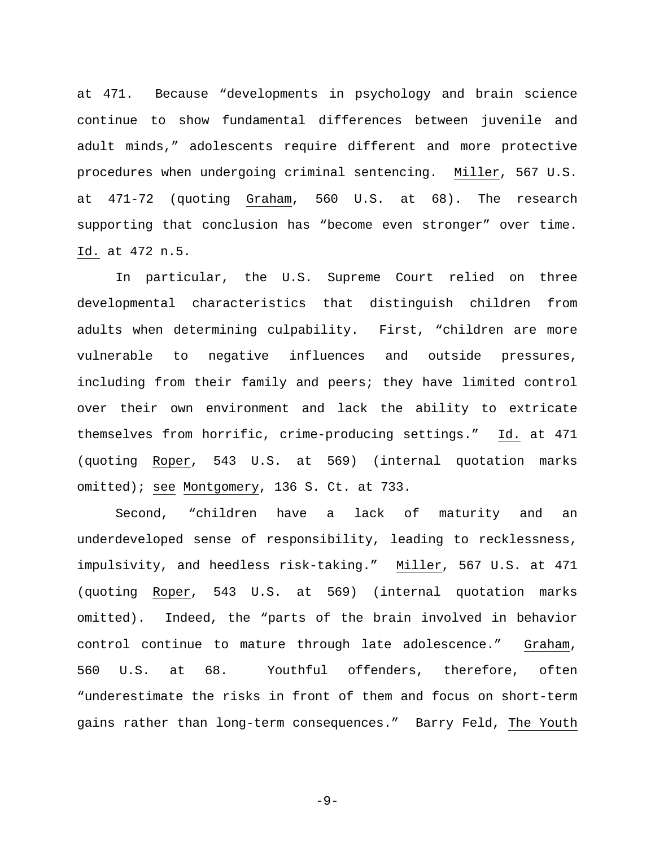at 471. Because "developments in psychology and brain science continue to show fundamental differences between juvenile and adult minds," adolescents require different and more protective procedures when undergoing criminal sentencing. Miller, 567 U.S. at 471-72 (quoting Graham, 560 U.S. at 68). The research supporting that conclusion has "become even stronger" over time. Id. at 472 n.5.

In particular, the U.S. Supreme Court relied on three developmental characteristics that distinguish children from adults when determining culpability. First, "children are more vulnerable to negative influences and outside pressures, including from their family and peers; they have limited control over their own environment and lack the ability to extricate themselves from horrific, crime-producing settings." Id. at 471 (quoting Roper, 543 U.S. at 569) (internal quotation marks omitted); see Montgomery, 136 S. Ct. at 733.

Second, "children have a lack of maturity and an underdeveloped sense of responsibility, leading to recklessness, impulsivity, and heedless risk-taking." Miller, 567 U.S. at 471 (quoting Roper, 543 U.S. at 569) (internal quotation marks omitted). Indeed, the "parts of the brain involved in behavior control continue to mature through late adolescence." Graham, 560 U.S. at 68. Youthful offenders, therefore, often "underestimate the risks in front of them and focus on short-term gains rather than long-term consequences." Barry Feld, The Youth

<span id="page-12-0"></span> $-9-$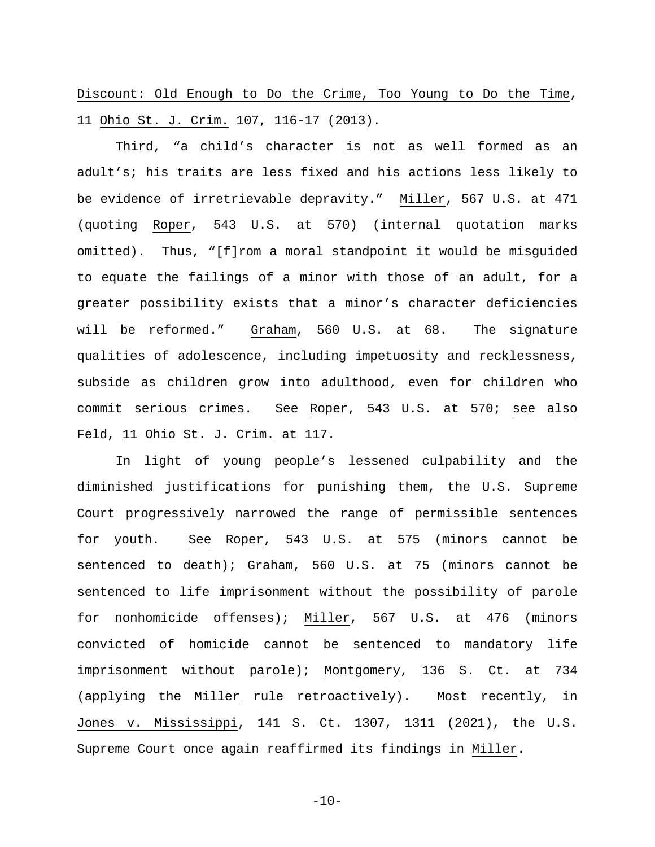Discount: Old Enough to Do the Crime, Too Young to Do the Time, 11 Ohio St. J. Crim. 107, 116-17 (2013).

Third, "a child's character is not as well formed as an adult's; his traits are less fixed and his actions less likely to be evidence of irretrievable depravity." Miller, 567 U.S. at 471 (quoting Roper, 543 U.S. at 570) (internal quotation marks omitted). Thus, "[f]rom a moral standpoint it would be misguided to equate the failings of a minor with those of an adult, for a greater possibility exists that a minor's character deficiencies will be reformed." Graham, 560 U.S. at 68. The signature qualities of adolescence, including impetuosity and recklessness, subside as children grow into adulthood, even for children who commit serious crimes. See Roper, 543 U.S. at 570; see also Feld, 11 Ohio St. J. Crim. at 117.

In light of young people's lessened culpability and the diminished justifications for punishing them, the U.S. Supreme Court progressively narrowed the range of permissible sentences for youth. See Roper, 543 U.S. at 575 (minors cannot be sentenced to death); Graham, 560 U.S. at 75 (minors cannot be sentenced to life imprisonment without the possibility of parole for nonhomicide offenses); Miller, 567 U.S. at 476 (minors convicted of homicide cannot be sentenced to mandatory life imprisonment without parole); Montgomery, 136 S. Ct. at 734 (applying the Miller rule retroactively). Most recently, in Jones v. Mississippi, 141 S. Ct. 1307, 1311 (2021), the U.S. Supreme Court once again reaffirmed its findings in Miller.

<span id="page-13-0"></span> $-10-$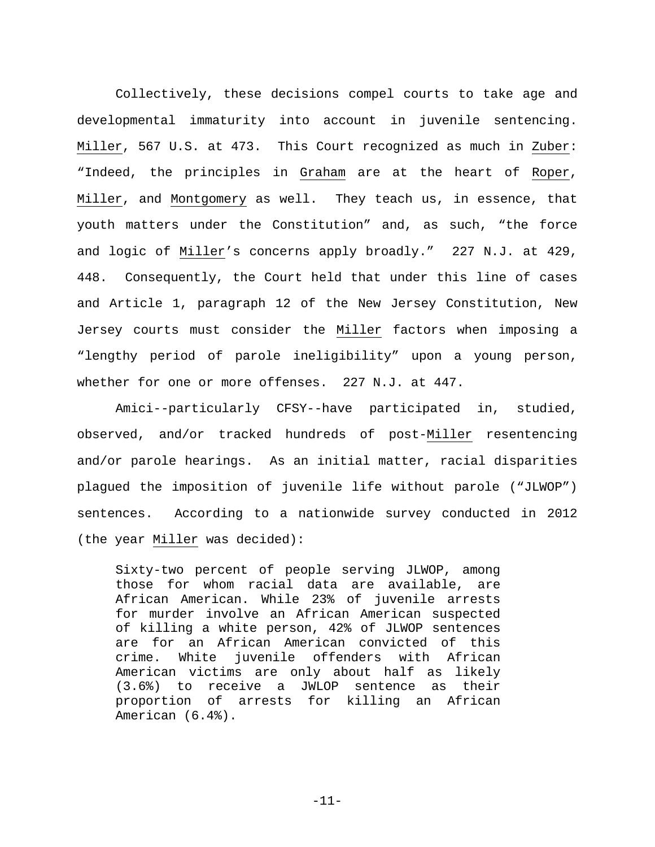Collectively, these decisions compel courts to take age and developmental immaturity into account in juvenile sentencing. Miller, 567 U.S. at 473. This Court recognized as much in Zuber: "Indeed, the principles in Graham are at the heart of Roper, Miller, and Montgomery as well. They teach us, in essence, that youth matters under the Constitution" and, as such, "the force and logic of Miller's concerns apply broadly." 227 N.J. at 429, 448. Consequently, the Court held that under this line of cases and Article 1, paragraph 12 of the New Jersey Constitution, New Jersey courts must consider the Miller factors when imposing a "lengthy period of parole ineligibility" upon a young person, whether for one or more offenses. 227 N.J. at 447.

<span id="page-14-0"></span>Amici--particularly CFSY--have participated in, studied, observed, and/or tracked hundreds of post-Miller resentencing and/or parole hearings. As an initial matter, racial disparities plagued the imposition of juvenile life without parole ("JLWOP") sentences. According to a nationwide survey conducted in 2012 (the year Miller was decided):

Sixty-two percent of people serving JLWOP, among those for whom racial data are available, are African American. While 23% of juvenile arrests for murder involve an African American suspected of killing a white person, 42% of JLWOP sentences are for an African American convicted of this crime. White juvenile offenders with African American victims are only about half as likely (3.6%) to receive a JWLOP sentence as their proportion of arrests for killing an African American (6.4%).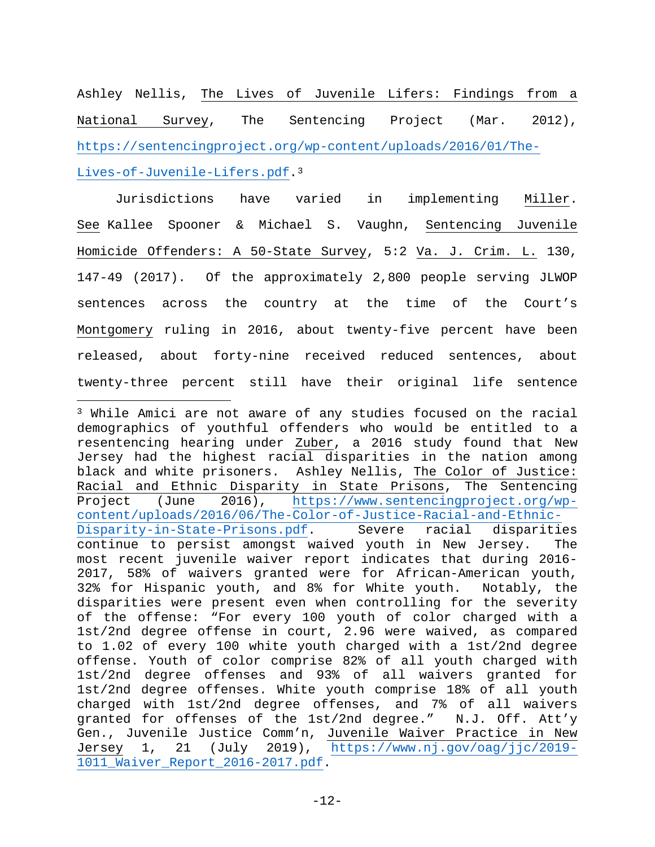Ashley Nellis, The Lives of Juvenile Lifers: Findings from a National Survey, The Sentencing Project (Mar. 2012), [https://sentencingproject.org/wp-content/uploads/2016/01/The-](https://sentencingproject.org/wp-content/uploads/2016/01/The-Lives-of-Juvenile-Lifers.pdf)[Lives-of-Juvenile-Lifers.pdf.](https://sentencingproject.org/wp-content/uploads/2016/01/The-Lives-of-Juvenile-Lifers.pdf)<sup>[3](#page-15-3)</sup>

<span id="page-15-1"></span>Jurisdictions have varied in implementing Miller. See Kallee Spooner & Michael S. Vaughn, Sentencing Juvenile Homicide Offenders: A 50-State Survey, 5:2 Va. J. Crim. L. 130, 147-49 (2017). Of the approximately 2,800 people serving JLWOP sentences across the country at the time of the Court's Montgomery ruling in 2016, about twenty-five percent have been released, about forty-nine received reduced sentences, about twenty-three percent still have their original life sentence

 $\overline{\phantom{a}}$ 

<span id="page-15-3"></span><span id="page-15-2"></span><span id="page-15-0"></span><sup>3</sup> While Amici are not aware of any studies focused on the racial demographics of youthful offenders who would be entitled to a resentencing hearing under Zuber, a 2016 study found that New Jersey had the highest racial disparities in the nation among black and white prisoners. Ashley Nellis, The Color of Justice: Racial and Ethnic Disparity in State Prisons, The Sentencing Project (June 2016), [https://www.sentencingproject.org/wp](https://www.sentencingproject.org/wp-content/uploads/2016/06/The-Color-of-Justice-Racial-and-Ethnic-Disparity-in-State-Prisons.pdf)[content/uploads/2016/06/The-Color-of-Justice-Racial-and-Ethnic-](https://www.sentencingproject.org/wp-content/uploads/2016/06/The-Color-of-Justice-Racial-and-Ethnic-Disparity-in-State-Prisons.pdf)Severe racial disparities continue to persist amongst waived youth in New Jersey. The most recent juvenile waiver report indicates that during 2016- 2017, 58% of waivers granted were for African-American youth, 32% for Hispanic youth, and 8% for White youth. Notably, the disparities were present even when controlling for the severity of the offense: "For every 100 youth of color charged with a 1st/2nd degree offense in court, 2.96 were waived, as compared to 1.02 of every 100 white youth charged with a 1st/2nd degree offense. Youth of color comprise 82% of all youth charged with 1st/2nd degree offenses and 93% of all waivers granted for 1st/2nd degree offenses. White youth comprise 18% of all youth charged with 1st/2nd degree offenses, and 7% of all waivers granted for offenses of the 1st/2nd degree." N.J. Off. Att'y Gen., Juvenile Justice Comm'n, Juvenile Waiver Practice in New Jersey 1, 21 (July 2019), [https://www.nj.gov/oag/jjc/2019-](https://www.nj.gov/oag/jjc/2019-1011_Waiver_Report_2016-2017.pdf) [1011\\_Waiver\\_Report\\_2016-2017.pdf.](https://www.nj.gov/oag/jjc/2019-1011_Waiver_Report_2016-2017.pdf)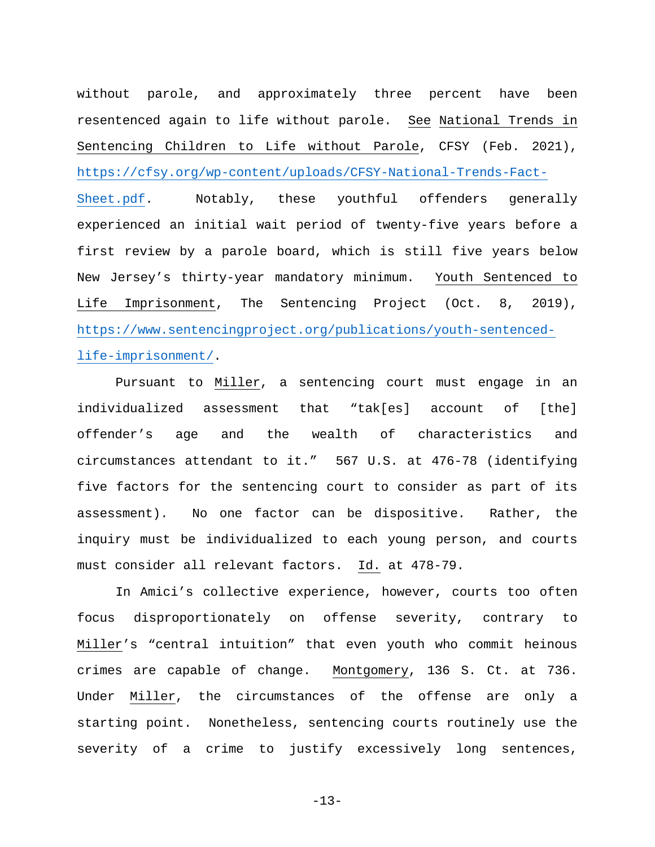<span id="page-16-1"></span>without parole, and approximately three percent have been resentenced again to life without parole. See National Trends in Sentencing Children to Life without Parole, CFSY (Feb. 2021), [https://cfsy.org/wp-content/uploads/CFSY-National-Trends-Fact-](https://cfsy.org/wp-content/uploads/CFSY-National-Trends-Fact-Sheet.pdf)[Sheet.pdf.](https://cfsy.org/wp-content/uploads/CFSY-National-Trends-Fact-Sheet.pdf) Notably, these youthful offenders generally experienced an initial wait period of twenty-five years before a first review by a parole board, which is still five years below New Jersey's thirty-year mandatory minimum. Youth Sentenced to Life Imprisonment, The Sentencing Project (Oct. 8, 2019), [https://www.sentencingproject.org/publications/youth-sentenced](https://www.sentencingproject.org/publications/youth-sentenced-life-imprisonment/)[life-imprisonment/.](https://www.sentencingproject.org/publications/youth-sentenced-life-imprisonment/)

<span id="page-16-0"></span>Pursuant to Miller, a sentencing court must engage in an individualized assessment that "tak[es] account of [the] offender's age and the wealth of characteristics and circumstances attendant to it." 567 U.S. at 476-78 (identifying five factors for the sentencing court to consider as part of its assessment). No one factor can be dispositive. Rather, the inquiry must be individualized to each young person, and courts must consider all relevant factors. Id. at 478-79.

In Amici's collective experience, however, courts too often focus disproportionately on offense severity, contrary to Miller's "central intuition" that even youth who commit heinous crimes are capable of change. Montgomery, 136 S. Ct. at 736. Under Miller, the circumstances of the offense are only a starting point. Nonetheless, sentencing courts routinely use the severity of a crime to justify excessively long sentences,

-13-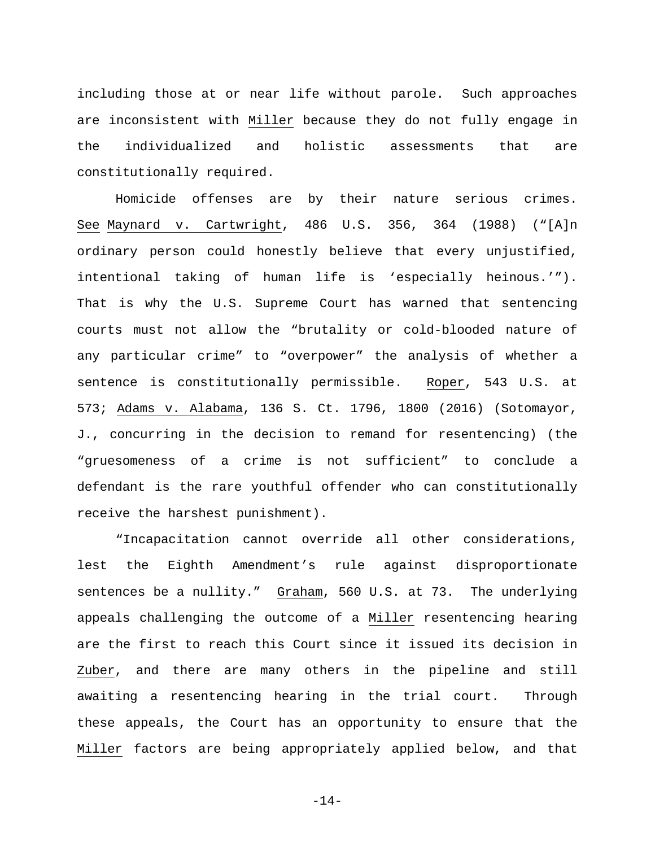including those at or near life without parole. Such approaches are inconsistent with Miller because they do not fully engage in the individualized and holistic assessments that are constitutionally required.

<span id="page-17-1"></span>Homicide offenses are by their nature serious crimes. See Maynard v. Cartwright, 486 U.S. 356, 364 (1988) ("[A]n ordinary person could honestly believe that every unjustified, intentional taking of human life is 'especially heinous.'"). That is why the U.S. Supreme Court has warned that sentencing courts must not allow the "brutality or cold-blooded nature of any particular crime" to "overpower" the analysis of whether a sentence is constitutionally permissible. Roper, 543 U.S. at 573; Adams v. Alabama, 136 S. Ct. 1796, 1800 (2016) (Sotomayor, J., concurring in the decision to remand for resentencing) (the "gruesomeness of a crime is not sufficient" to conclude a defendant is the rare youthful offender who can constitutionally receive the harshest punishment).

<span id="page-17-0"></span>"Incapacitation cannot override all other considerations, lest the Eighth Amendment's rule against disproportionate sentences be a nullity." Graham, 560 U.S. at 73. The underlying appeals challenging the outcome of a Miller resentencing hearing are the first to reach this Court since it issued its decision in Zuber, and there are many others in the pipeline and still awaiting a resentencing hearing in the trial court. Through these appeals, the Court has an opportunity to ensure that the Miller factors are being appropriately applied below, and that

-14-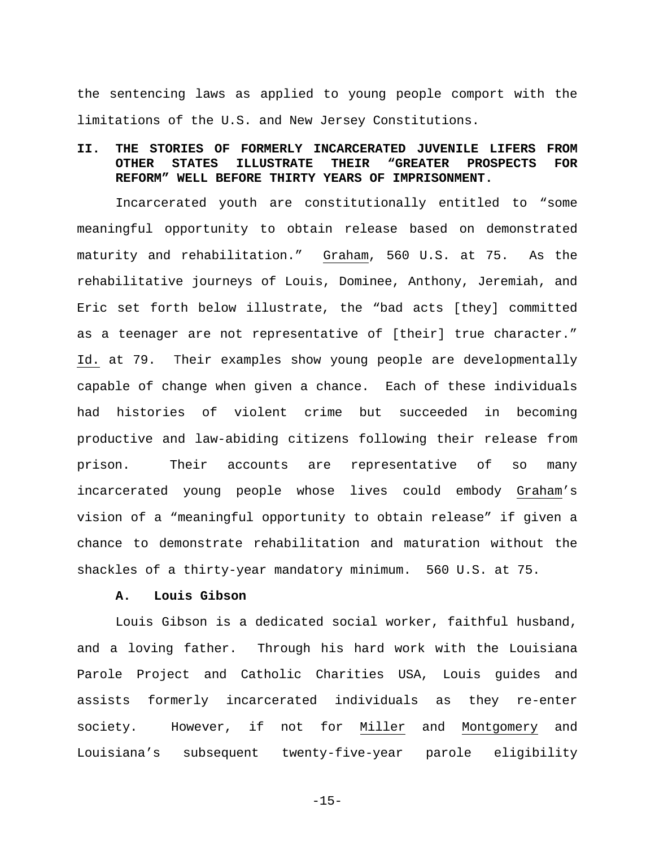the sentencing laws as applied to young people comport with the limitations of the U.S. and New Jersey Constitutions.

# <span id="page-18-0"></span>**II. THE STORIES OF FORMERLY INCARCERATED JUVENILE LIFERS FROM OTHER STATES ILLUSTRATE THEIR "GREATER PROSPECTS FOR REFORM" WELL BEFORE THIRTY YEARS OF IMPRISONMENT.**

Incarcerated youth are constitutionally entitled to "some meaningful opportunity to obtain release based on demonstrated maturity and rehabilitation." Graham, 560 U.S. at 75. As the rehabilitative journeys of Louis, Dominee, Anthony, Jeremiah, and Eric set forth below illustrate, the "bad acts [they] committed as a teenager are not representative of [their] true character." Id. at 79. Their examples show young people are developmentally capable of change when given a chance. Each of these individuals had histories of violent crime but succeeded in becoming productive and law-abiding citizens following their release from prison. Their accounts are representative of so many incarcerated young people whose lives could embody Graham's vision of a "meaningful opportunity to obtain release" if given a chance to demonstrate rehabilitation and maturation without the shackles of a thirty-year mandatory minimum. 560 U.S. at 75.

#### **A. Louis Gibson**

<span id="page-18-1"></span>Louis Gibson is a dedicated social worker, faithful husband, and a loving father. Through his hard work with the Louisiana Parole Project and Catholic Charities USA, Louis guides and assists formerly incarcerated individuals as they re-enter society. However, if not for Miller and Montgomery and Louisiana's subsequent twenty-five-year parole eligibility

-15-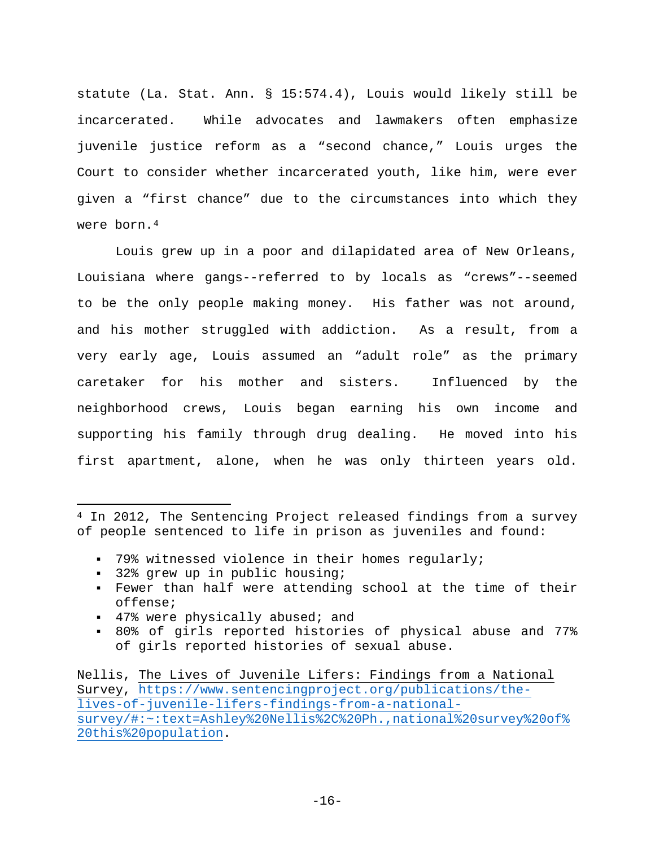<span id="page-19-0"></span>statute (La. Stat. Ann. § 15:574.4), Louis would likely still be incarcerated. While advocates and lawmakers often emphasize juvenile justice reform as a "second chance," Louis urges the Court to consider whether incarcerated youth, like him, were ever given a "first chance" due to the circumstances into which they were born.<sup>[4](#page-19-2)</sup>

Louis grew up in a poor and dilapidated area of New Orleans, Louisiana where gangs--referred to by locals as "crews"--seemed to be the only people making money. His father was not around, and his mother struggled with addiction. As a result, from a very early age, Louis assumed an "adult role" as the primary caretaker for his mother and sisters. Influenced by the neighborhood crews, Louis began earning his own income and supporting his family through drug dealing. He moved into his first apartment, alone, when he was only thirteen years old.

- 79% witnessed violence in their homes regularly;
- 32% grew up in public housing;

 $\overline{\phantom{a}}$ 

- Fewer than half were attending school at the time of their offense;
- 47% were physically abused; and
- <span id="page-19-1"></span> 80% of girls reported histories of physical abuse and 77% of girls reported histories of sexual abuse.

<span id="page-19-2"></span><sup>&</sup>lt;sup>4</sup> In 2012, The Sentencing Project released findings from a survey of people sentenced to life in prison as juveniles and found:

Nellis, The Lives of Juvenile Lifers: Findings from a National Survey, [https://www.sentencingproject.org/publications/the](https://www.sentencingproject.org/publications/the-lives-of-juvenile-lifers-findings-from-a-national-survey/#:%7E:text=Ashley%20Nellis%2C%20Ph.,national%20survey%20of%20this%20population)[lives-of-juvenile-lifers-findings-from-a-national](https://www.sentencingproject.org/publications/the-lives-of-juvenile-lifers-findings-from-a-national-survey/#:%7E:text=Ashley%20Nellis%2C%20Ph.,national%20survey%20of%20this%20population)[survey/#:~:text=Ashley%20Nellis%2C%20Ph.,national%20survey%20of%](https://www.sentencingproject.org/publications/the-lives-of-juvenile-lifers-findings-from-a-national-survey/#:%7E:text=Ashley%20Nellis%2C%20Ph.,national%20survey%20of%20this%20population) [20this%20population.](https://www.sentencingproject.org/publications/the-lives-of-juvenile-lifers-findings-from-a-national-survey/#:%7E:text=Ashley%20Nellis%2C%20Ph.,national%20survey%20of%20this%20population)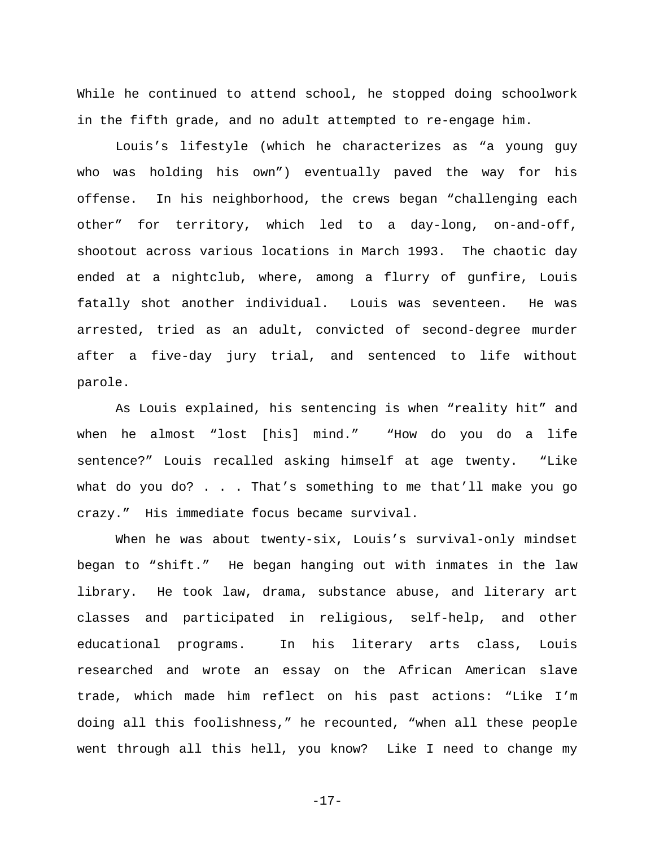While he continued to attend school, he stopped doing schoolwork in the fifth grade, and no adult attempted to re-engage him.

Louis's lifestyle (which he characterizes as "a young guy who was holding his own") eventually paved the way for his offense. In his neighborhood, the crews began "challenging each other" for territory, which led to a day-long, on-and-off, shootout across various locations in March 1993. The chaotic day ended at a nightclub, where, among a flurry of gunfire, Louis fatally shot another individual. Louis was seventeen. He was arrested, tried as an adult, convicted of second-degree murder after a five-day jury trial, and sentenced to life without parole.

As Louis explained, his sentencing is when "reality hit" and when he almost "lost [his] mind." "How do you do a life sentence?" Louis recalled asking himself at age twenty. "Like what do you do? . . . That's something to me that'll make you go crazy." His immediate focus became survival.

When he was about twenty-six, Louis's survival-only mindset began to "shift." He began hanging out with inmates in the law library. He took law, drama, substance abuse, and literary art classes and participated in religious, self-help, and other educational programs. In his literary arts class, Louis researched and wrote an essay on the African American slave trade, which made him reflect on his past actions: "Like I'm doing all this foolishness," he recounted, "when all these people went through all this hell, you know? Like I need to change my

-17-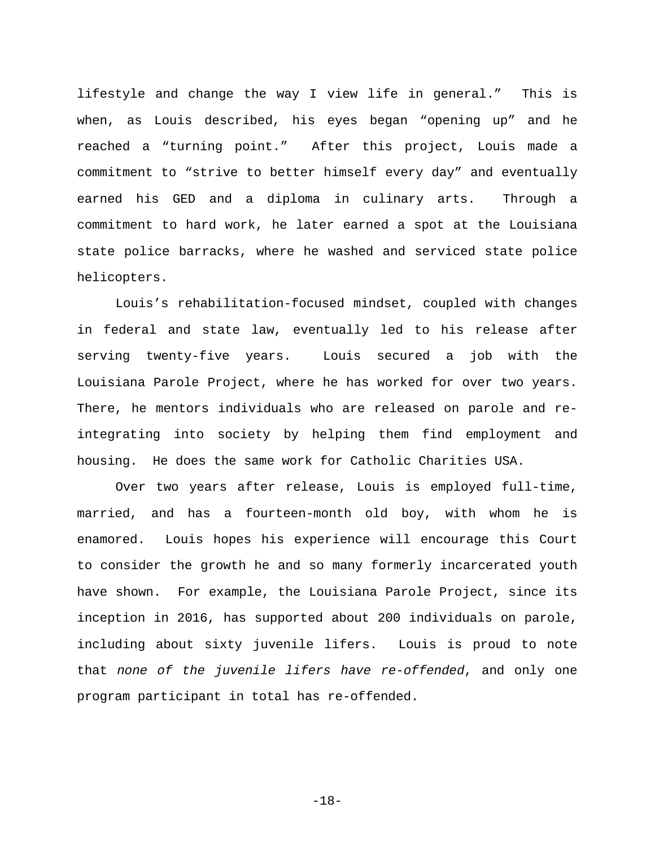lifestyle and change the way I view life in general." This is when, as Louis described, his eyes began "opening up" and he reached a "turning point." After this project, Louis made a commitment to "strive to better himself every day" and eventually earned his GED and a diploma in culinary arts. Through a commitment to hard work, he later earned a spot at the Louisiana state police barracks, where he washed and serviced state police helicopters.

Louis's rehabilitation-focused mindset, coupled with changes in federal and state law, eventually led to his release after serving twenty-five years. Louis secured a job with the Louisiana Parole Project, where he has worked for over two years. There, he mentors individuals who are released on parole and reintegrating into society by helping them find employment and housing. He does the same work for Catholic Charities USA.

Over two years after release, Louis is employed full-time, married, and has a fourteen-month old boy, with whom he is enamored. Louis hopes his experience will encourage this Court to consider the growth he and so many formerly incarcerated youth have shown. For example, the Louisiana Parole Project, since its inception in 2016, has supported about 200 individuals on parole, including about sixty juvenile lifers. Louis is proud to note that *none of the juvenile lifers have re-offended*, and only one program participant in total has re-offended.

-18-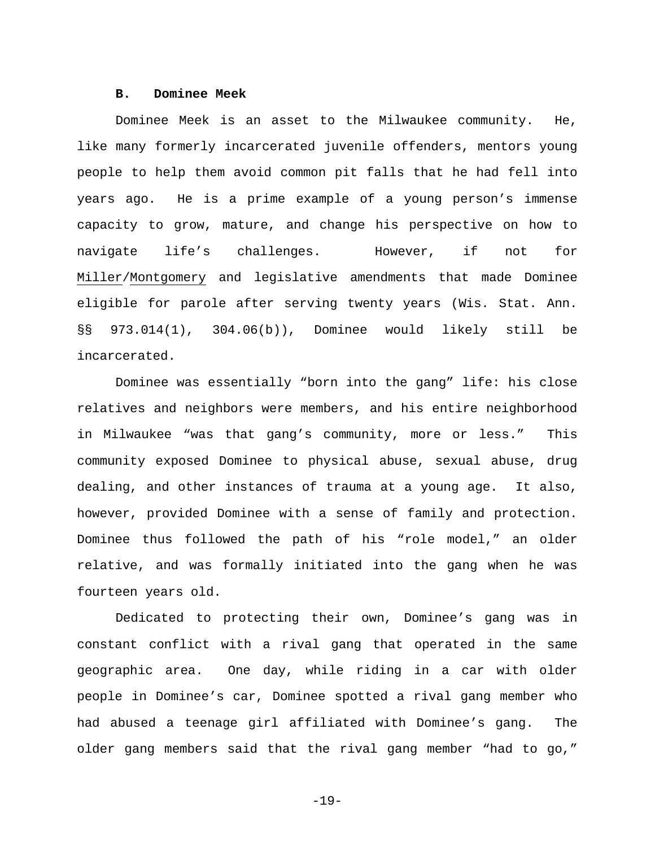### **B. Dominee Meek**

<span id="page-22-0"></span>Dominee Meek is an asset to the Milwaukee community. He, like many formerly incarcerated juvenile offenders, mentors young people to help them avoid common pit falls that he had fell into years ago. He is a prime example of a young person's immense capacity to grow, mature, and change his perspective on how to navigate life's challenges. However, if not for Miller/Montgomery and legislative amendments that made Dominee eligible for parole after serving twenty years (Wis. Stat. Ann. §§ 973.014(1), 304.06(b)), Dominee would likely still be incarcerated.

<span id="page-22-1"></span>Dominee was essentially "born into the gang" life: his close relatives and neighbors were members, and his entire neighborhood in Milwaukee "was that gang's community, more or less." This community exposed Dominee to physical abuse, sexual abuse, drug dealing, and other instances of trauma at a young age. It also, however, provided Dominee with a sense of family and protection. Dominee thus followed the path of his "role model," an older relative, and was formally initiated into the gang when he was fourteen years old.

Dedicated to protecting their own, Dominee's gang was in constant conflict with a rival gang that operated in the same geographic area. One day, while riding in a car with older people in Dominee's car, Dominee spotted a rival gang member who had abused a teenage girl affiliated with Dominee's gang. The older gang members said that the rival gang member "had to go,"

-19-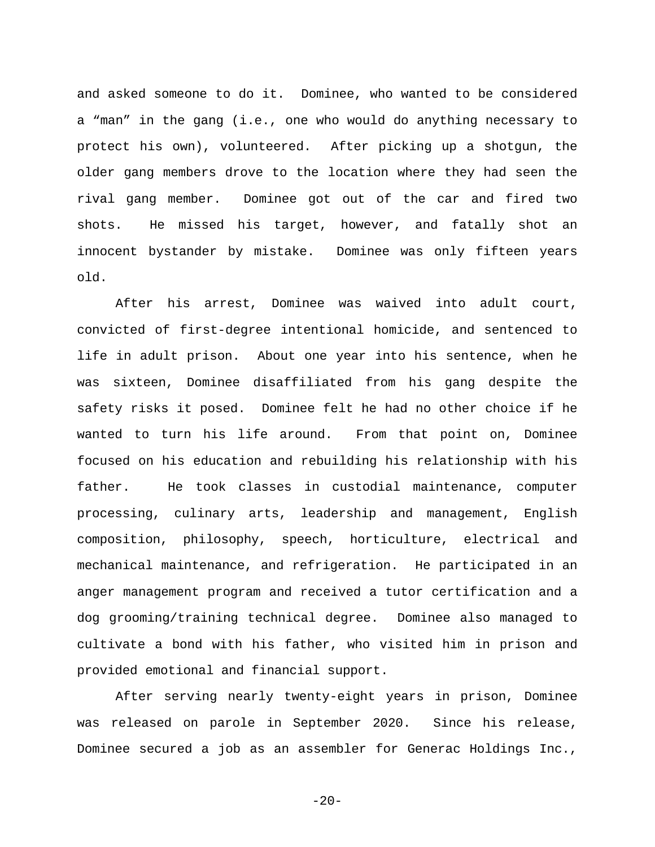and asked someone to do it. Dominee, who wanted to be considered a "man" in the gang (i.e., one who would do anything necessary to protect his own), volunteered. After picking up a shotgun, the older gang members drove to the location where they had seen the rival gang member. Dominee got out of the car and fired two shots. He missed his target, however, and fatally shot an innocent bystander by mistake. Dominee was only fifteen years old.

After his arrest, Dominee was waived into adult court, convicted of first-degree intentional homicide, and sentenced to life in adult prison. About one year into his sentence, when he was sixteen, Dominee disaffiliated from his gang despite the safety risks it posed. Dominee felt he had no other choice if he wanted to turn his life around. From that point on, Dominee focused on his education and rebuilding his relationship with his father. He took classes in custodial maintenance, computer processing, culinary arts, leadership and management, English composition, philosophy, speech, horticulture, electrical and mechanical maintenance, and refrigeration. He participated in an anger management program and received a tutor certification and a dog grooming/training technical degree. Dominee also managed to cultivate a bond with his father, who visited him in prison and provided emotional and financial support.

After serving nearly twenty-eight years in prison, Dominee was released on parole in September 2020. Since his release, Dominee secured a job as an assembler for Generac Holdings Inc.,

 $-20-$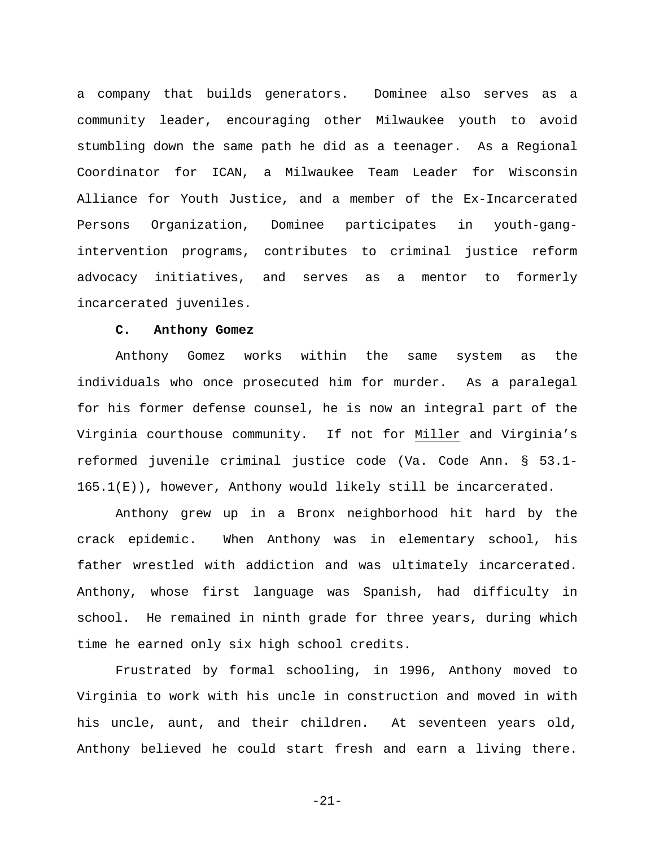a company that builds generators. Dominee also serves as a community leader, encouraging other Milwaukee youth to avoid stumbling down the same path he did as a teenager. As a Regional Coordinator for ICAN, a Milwaukee Team Leader for Wisconsin Alliance for Youth Justice, and a member of the Ex-Incarcerated Persons Organization, Dominee participates in youth-gangintervention programs, contributes to criminal justice reform advocacy initiatives, and serves as a mentor to formerly incarcerated juveniles.

#### <span id="page-24-1"></span>**C. Anthony Gomez**

<span id="page-24-0"></span>Anthony Gomez works within the same system as the individuals who once prosecuted him for murder. As a paralegal for his former defense counsel, he is now an integral part of the Virginia courthouse community. If not for Miller and Virginia's reformed juvenile criminal justice code (Va. Code Ann. § 53.1-  $165.1(E)$ ), however, Anthony would likely still be incarcerated.

Anthony grew up in a Bronx neighborhood hit hard by the crack epidemic. When Anthony was in elementary school, his father wrestled with addiction and was ultimately incarcerated. Anthony, whose first language was Spanish, had difficulty in school. He remained in ninth grade for three years, during which time he earned only six high school credits.

Frustrated by formal schooling, in 1996, Anthony moved to Virginia to work with his uncle in construction and moved in with his uncle, aunt, and their children. At seventeen years old, Anthony believed he could start fresh and earn a living there.

-21-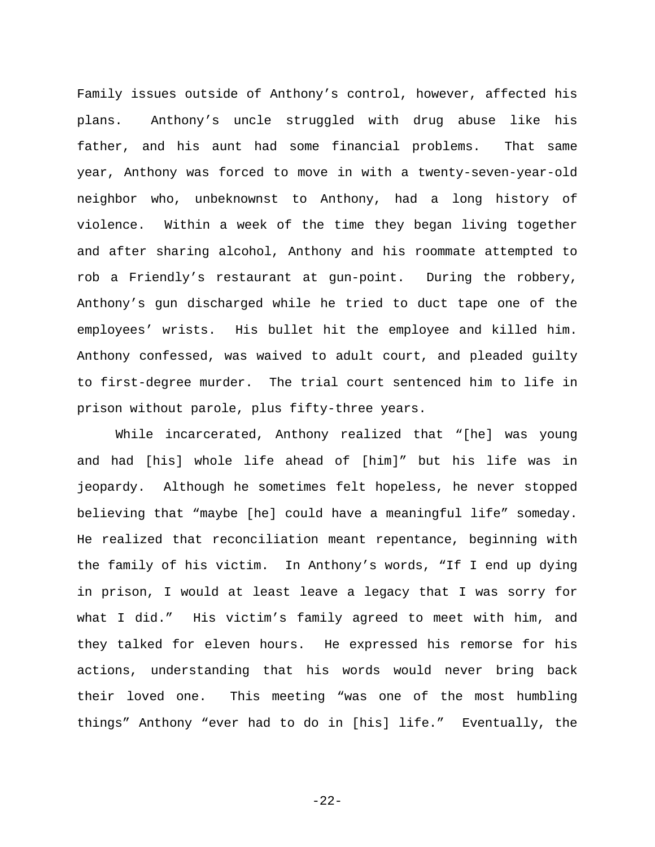Family issues outside of Anthony's control, however, affected his plans. Anthony's uncle struggled with drug abuse like his father, and his aunt had some financial problems. That same year, Anthony was forced to move in with a twenty-seven-year-old neighbor who, unbeknownst to Anthony, had a long history of violence. Within a week of the time they began living together and after sharing alcohol, Anthony and his roommate attempted to rob a Friendly's restaurant at gun-point. During the robbery, Anthony's gun discharged while he tried to duct tape one of the employees' wrists. His bullet hit the employee and killed him. Anthony confessed, was waived to adult court, and pleaded guilty to first-degree murder. The trial court sentenced him to life in prison without parole, plus fifty-three years.

While incarcerated, Anthony realized that "[he] was young and had [his] whole life ahead of [him]" but his life was in jeopardy. Although he sometimes felt hopeless, he never stopped believing that "maybe [he] could have a meaningful life" someday. He realized that reconciliation meant repentance, beginning with the family of his victim. In Anthony's words, "If I end up dying in prison, I would at least leave a legacy that I was sorry for what I did." His victim's family agreed to meet with him, and they talked for eleven hours. He expressed his remorse for his actions, understanding that his words would never bring back their loved one. This meeting "was one of the most humbling things" Anthony "ever had to do in [his] life." Eventually, the

-22-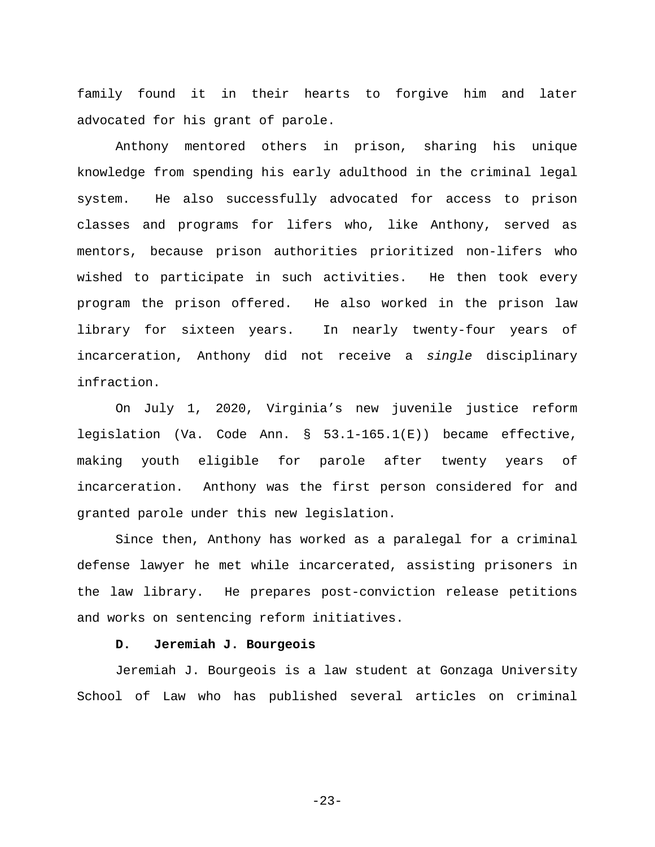family found it in their hearts to forgive him and later advocated for his grant of parole.

Anthony mentored others in prison, sharing his unique knowledge from spending his early adulthood in the criminal legal system. He also successfully advocated for access to prison classes and programs for lifers who, like Anthony, served as mentors, because prison authorities prioritized non-lifers who wished to participate in such activities. He then took every program the prison offered. He also worked in the prison law library for sixteen years. In nearly twenty-four years of incarceration, Anthony did not receive a *single* disciplinary infraction.

<span id="page-26-1"></span>On July 1, 2020, Virginia's new juvenile justice reform legislation (Va. Code Ann. § 53.1-165.1(E)) became effective, making youth eligible for parole after twenty years of incarceration. Anthony was the first person considered for and granted parole under this new legislation.

Since then, Anthony has worked as a paralegal for a criminal defense lawyer he met while incarcerated, assisting prisoners in the law library. He prepares post-conviction release petitions and works on sentencing reform initiatives.

#### **D. Jeremiah J. Bourgeois**

<span id="page-26-0"></span>Jeremiah J. Bourgeois is a law student at Gonzaga University School of Law who has published several articles on criminal

-23-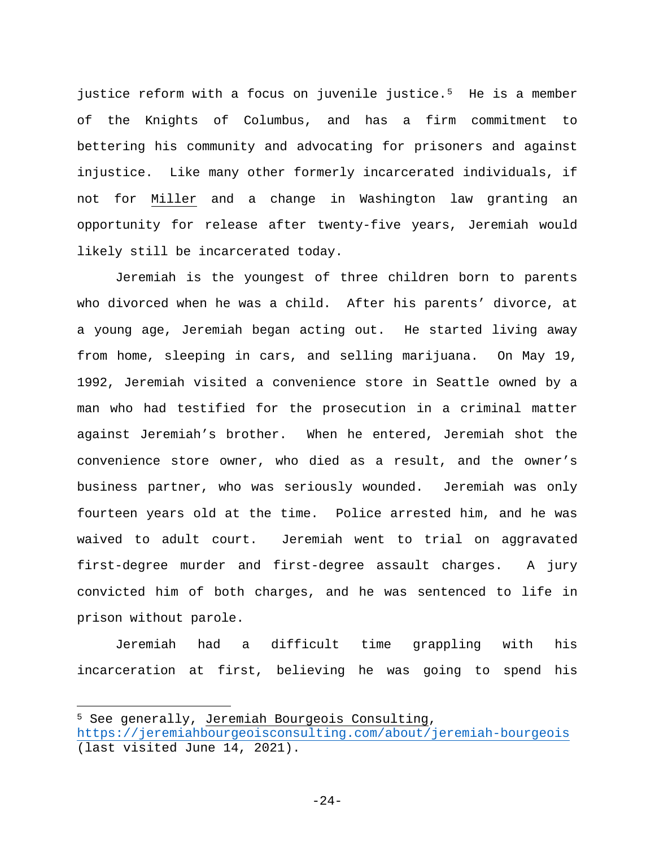justice reform with a focus on juvenile justice.<sup>[5](#page-27-0)</sup> He is a member of the Knights of Columbus, and has a firm commitment to bettering his community and advocating for prisoners and against injustice. Like many other formerly incarcerated individuals, if not for Miller and a change in Washington law granting an opportunity for release after twenty-five years, Jeremiah would likely still be incarcerated today.

Jeremiah is the youngest of three children born to parents who divorced when he was a child. After his parents' divorce, at a young age, Jeremiah began acting out. He started living away from home, sleeping in cars, and selling marijuana. On May 19, 1992, Jeremiah visited a convenience store in Seattle owned by a man who had testified for the prosecution in a criminal matter against Jeremiah's brother. When he entered, Jeremiah shot the convenience store owner, who died as a result, and the owner's business partner, who was seriously wounded. Jeremiah was only fourteen years old at the time. Police arrested him, and he was waived to adult court. Jeremiah went to trial on aggravated first-degree murder and first-degree assault charges. A jury convicted him of both charges, and he was sentenced to life in prison without parole.

Jeremiah had a difficult time grappling with his incarceration at first, believing he was going to spend his

 $\overline{a}$ 

<span id="page-27-0"></span><sup>5</sup> See generally, Jeremiah Bourgeois Consulting, <https://jeremiahbourgeoisconsulting.com/about/jeremiah-bourgeois> (last visited June 14, 2021).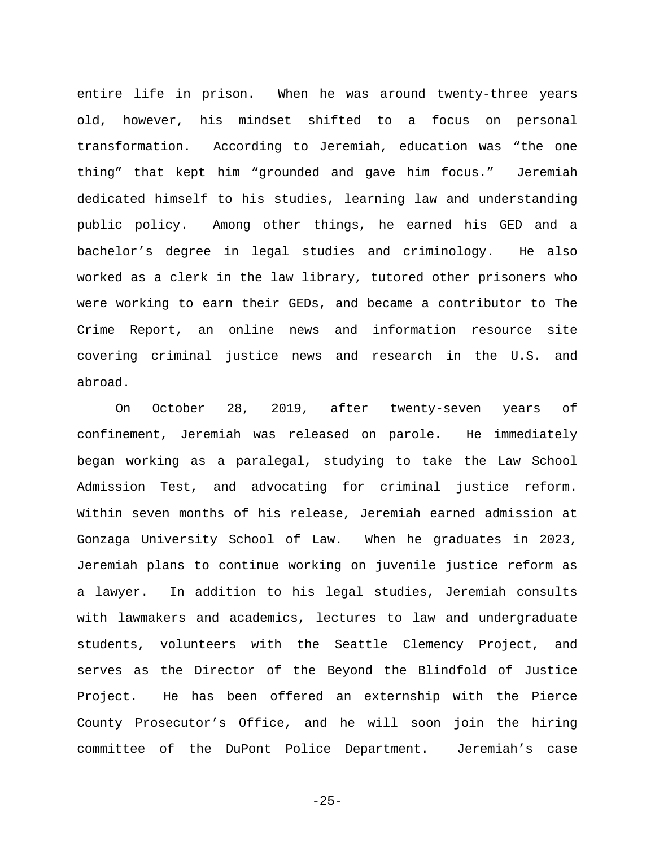entire life in prison. When he was around twenty-three years old, however, his mindset shifted to a focus on personal transformation. According to Jeremiah, education was "the one thing" that kept him "grounded and gave him focus." Jeremiah dedicated himself to his studies, learning law and understanding public policy. Among other things, he earned his GED and a bachelor's degree in legal studies and criminology. He also worked as a clerk in the law library, tutored other prisoners who were working to earn their GEDs, and became a contributor to The Crime Report, an online news and information resource site covering criminal justice news and research in the U.S. and abroad.

On October 28, 2019, after twenty-seven years of confinement, Jeremiah was released on parole. He immediately began working as a paralegal, studying to take the Law School Admission Test, and advocating for criminal justice reform. Within seven months of his release, Jeremiah earned admission at Gonzaga University School of Law. When he graduates in 2023, Jeremiah plans to continue working on juvenile justice reform as a lawyer. In addition to his legal studies, Jeremiah consults with lawmakers and academics, lectures to law and undergraduate students, volunteers with the Seattle Clemency Project, and serves as the Director of the Beyond the Blindfold of Justice Project. He has been offered an externship with the Pierce County Prosecutor's Office, and he will soon join the hiring committee of the DuPont Police Department. Jeremiah's case

-25-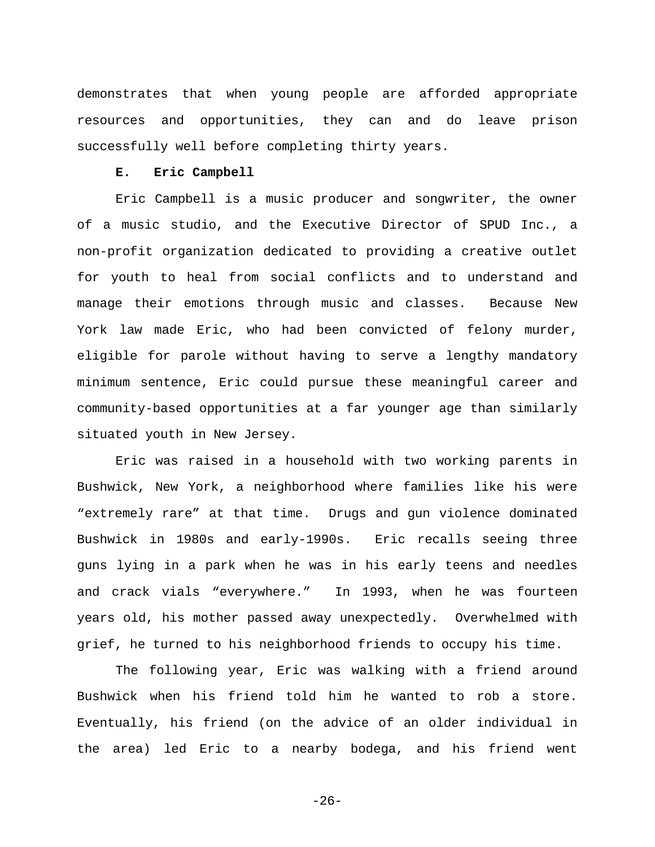demonstrates that when young people are afforded appropriate resources and opportunities, they can and do leave prison successfully well before completing thirty years.

#### **E. Eric Campbell**

<span id="page-29-0"></span>Eric Campbell is a music producer and songwriter, the owner of a music studio, and the Executive Director of SPUD Inc., a non-profit organization dedicated to providing a creative outlet for youth to heal from social conflicts and to understand and manage their emotions through music and classes. Because New York law made Eric, who had been convicted of felony murder, eligible for parole without having to serve a lengthy mandatory minimum sentence, Eric could pursue these meaningful career and community-based opportunities at a far younger age than similarly situated youth in New Jersey.

Eric was raised in a household with two working parents in Bushwick, New York, a neighborhood where families like his were "extremely rare" at that time. Drugs and gun violence dominated Bushwick in 1980s and early-1990s. Eric recalls seeing three guns lying in a park when he was in his early teens and needles and crack vials "everywhere." In 1993, when he was fourteen years old, his mother passed away unexpectedly. Overwhelmed with grief, he turned to his neighborhood friends to occupy his time.

The following year, Eric was walking with a friend around Bushwick when his friend told him he wanted to rob a store. Eventually, his friend (on the advice of an older individual in the area) led Eric to a nearby bodega, and his friend went

-26-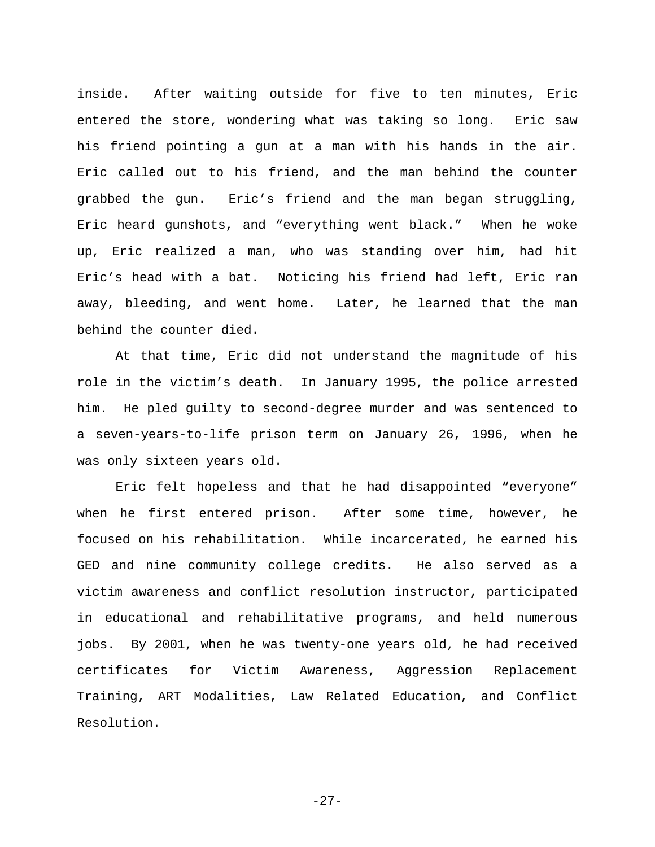inside. After waiting outside for five to ten minutes, Eric entered the store, wondering what was taking so long. Eric saw his friend pointing a gun at a man with his hands in the air. Eric called out to his friend, and the man behind the counter grabbed the gun. Eric's friend and the man began struggling, Eric heard gunshots, and "everything went black." When he woke up, Eric realized a man, who was standing over him, had hit Eric's head with a bat. Noticing his friend had left, Eric ran away, bleeding, and went home. Later, he learned that the man behind the counter died.

At that time, Eric did not understand the magnitude of his role in the victim's death. In January 1995, the police arrested him. He pled guilty to second-degree murder and was sentenced to a seven-years-to-life prison term on January 26, 1996, when he was only sixteen years old.

Eric felt hopeless and that he had disappointed "everyone" when he first entered prison. After some time, however, he focused on his rehabilitation. While incarcerated, he earned his GED and nine community college credits. He also served as a victim awareness and conflict resolution instructor, participated in educational and rehabilitative programs, and held numerous jobs. By 2001, when he was twenty-one years old, he had received certificates for Victim Awareness, Aggression Replacement Training, ART Modalities, Law Related Education, and Conflict Resolution.

-27-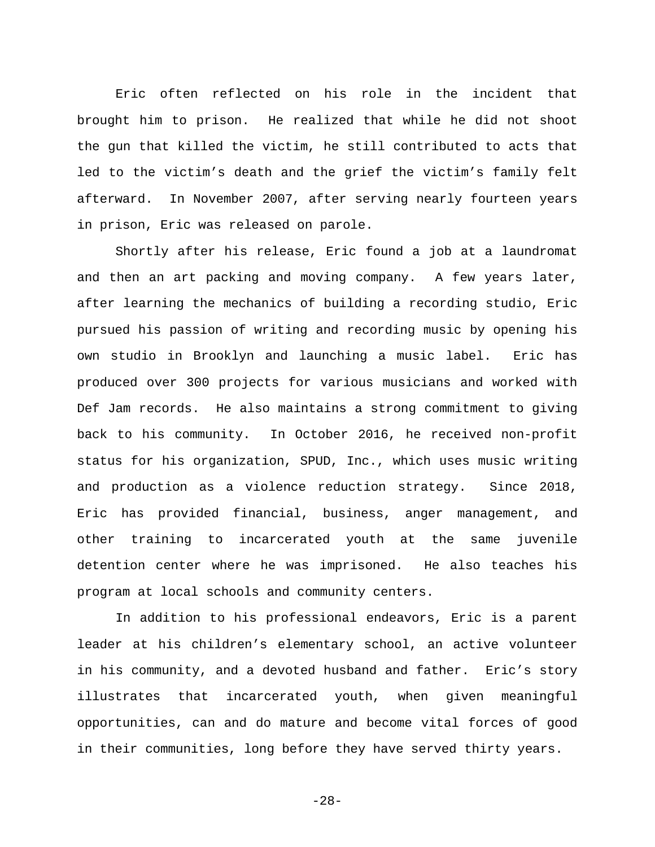Eric often reflected on his role in the incident that brought him to prison. He realized that while he did not shoot the gun that killed the victim, he still contributed to acts that led to the victim's death and the grief the victim's family felt afterward. In November 2007, after serving nearly fourteen years in prison, Eric was released on parole.

Shortly after his release, Eric found a job at a laundromat and then an art packing and moving company. A few years later, after learning the mechanics of building a recording studio, Eric pursued his passion of writing and recording music by opening his own studio in Brooklyn and launching a music label. Eric has produced over 300 projects for various musicians and worked with Def Jam records. He also maintains a strong commitment to giving back to his community. In October 2016, he received non-profit status for his organization, SPUD, Inc., which uses music writing and production as a violence reduction strategy. Since 2018, Eric has provided financial, business, anger management, and other training to incarcerated youth at the same juvenile detention center where he was imprisoned. He also teaches his program at local schools and community centers.

In addition to his professional endeavors, Eric is a parent leader at his children's elementary school, an active volunteer in his community, and a devoted husband and father. Eric's story illustrates that incarcerated youth, when given meaningful opportunities, can and do mature and become vital forces of good in their communities, long before they have served thirty years.

-28-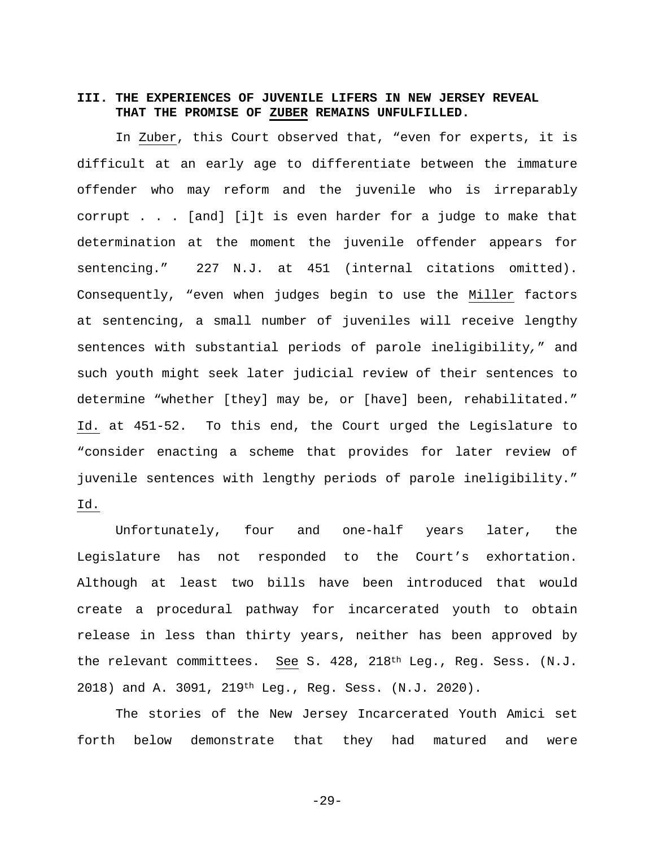# <span id="page-32-0"></span>**III. THE EXPERIENCES OF JUVENILE LIFERS IN NEW JERSEY REVEAL THAT THE PROMISE OF ZUBER REMAINS UNFULFILLED.**

In Zuber, this Court observed that, "even for experts, it is difficult at an early age to differentiate between the immature offender who may reform and the juvenile who is irreparably corrupt . . . [and] [i]t is even harder for a judge to make that determination at the moment the juvenile offender appears for sentencing." 227 N.J. at 451 (internal citations omitted). Consequently, "even when judges begin to use the [Miller](http://www.westlaw.com/Link/Document/FullText?findType=Y&serNum=2027964006&originatingDoc=If397e6c0d88411e6ae36ba8bbc8f4702&refType=RP&originationContext=document&vr=3.0&rs=cblt1.0&transitionType=DocumentItem&contextData=(sc.Search)) factors at sentencing, a small number of juveniles will receive lengthy sentences with substantial periods of parole ineligibility*,*" and such youth might seek later judicial review of their sentences to determine "whether [they] may be, or [have] been, rehabilitated." Id. at 451-52. To this end, the Court urged the Legislature to "consider enacting a scheme that provides for later review of juvenile sentences with lengthy periods of parole ineligibility." Id.

Unfortunately, four and one-half years later, the Legislature has not responded to the Court's exhortation. Although at least two bills have been introduced that would create a procedural pathway for incarcerated youth to obtain release in less than thirty years, neither has been approved by the relevant committees. See S. 428, 218th Leg., Reg. Sess. (N.J. 2018) and A. 3091, 219th Leg., Reg. Sess. (N.J. 2020).

<span id="page-32-1"></span>The stories of the New Jersey Incarcerated Youth Amici set forth below demonstrate that they had matured and were

<span id="page-32-2"></span>-29-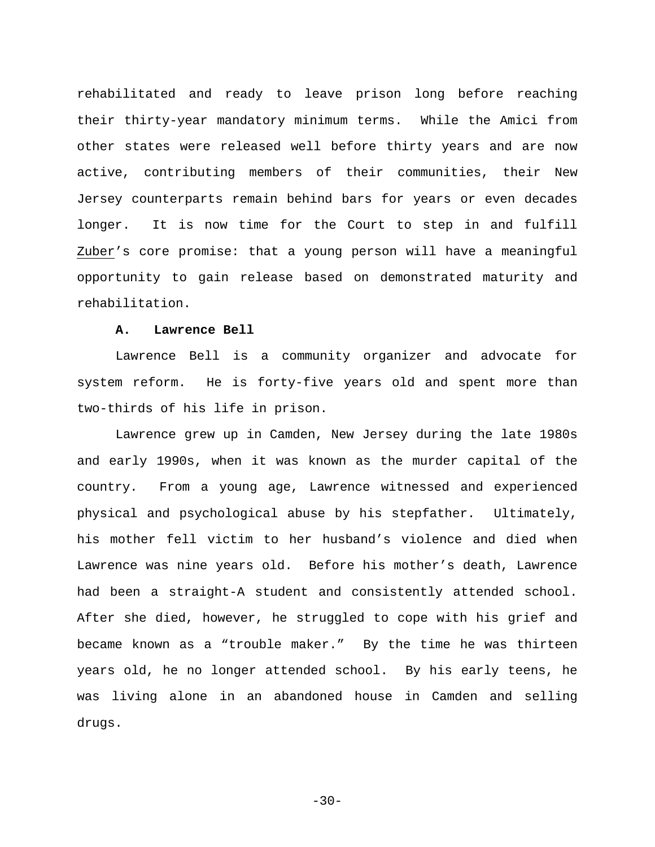rehabilitated and ready to leave prison long before reaching their thirty-year mandatory minimum terms. While the Amici from other states were released well before thirty years and are now active, contributing members of their communities, their New Jersey counterparts remain behind bars for years or even decades longer. It is now time for the Court to step in and fulfill Zuber's core promise: that a young person will have a meaningful opportunity to gain release based on demonstrated maturity and rehabilitation.

# **A. Lawrence Bell**

<span id="page-33-0"></span>Lawrence Bell is a community organizer and advocate for system reform. He is forty-five years old and spent more than two-thirds of his life in prison.

Lawrence grew up in Camden, New Jersey during the late 1980s and early 1990s, when it was known as the murder capital of the country. From a young age, Lawrence witnessed and experienced physical and psychological abuse by his stepfather. Ultimately, his mother fell victim to her husband's violence and died when Lawrence was nine years old. Before his mother's death, Lawrence had been a straight-A student and consistently attended school. After she died, however, he struggled to cope with his grief and became known as a "trouble maker." By the time he was thirteen years old, he no longer attended school. By his early teens, he was living alone in an abandoned house in Camden and selling drugs.

 $-30-$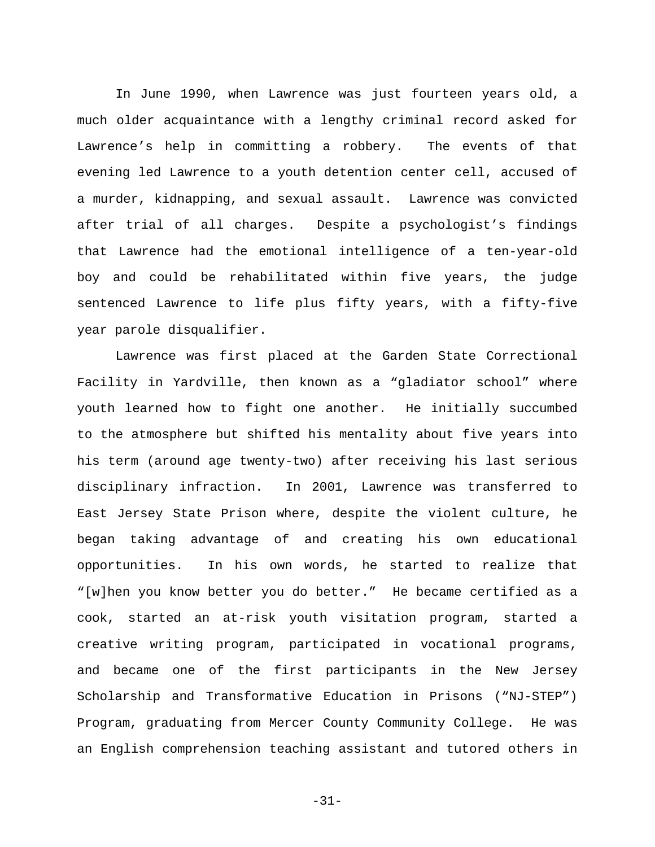In June 1990, when Lawrence was just fourteen years old, a much older acquaintance with a lengthy criminal record asked for Lawrence's help in committing a robbery. The events of that evening led Lawrence to a youth detention center cell, accused of a murder, kidnapping, and sexual assault. Lawrence was convicted after trial of all charges. Despite a psychologist's findings that Lawrence had the emotional intelligence of a ten-year-old boy and could be rehabilitated within five years, the judge sentenced Lawrence to life plus fifty years, with a fifty-five year parole disqualifier.

Lawrence was first placed at the Garden State Correctional Facility in Yardville, then known as a "gladiator school" where youth learned how to fight one another. He initially succumbed to the atmosphere but shifted his mentality about five years into his term (around age twenty-two) after receiving his last serious disciplinary infraction. In 2001, Lawrence was transferred to East Jersey State Prison where, despite the violent culture, he began taking advantage of and creating his own educational opportunities. In his own words, he started to realize that "[w]hen you know better you do better." He became certified as a cook, started an at-risk youth visitation program, started a creative writing program, participated in vocational programs, and became one of the first participants in the New Jersey Scholarship and Transformative Education in Prisons ("NJ-STEP") Program, graduating from Mercer County Community College. He was an English comprehension teaching assistant and tutored others in

-31-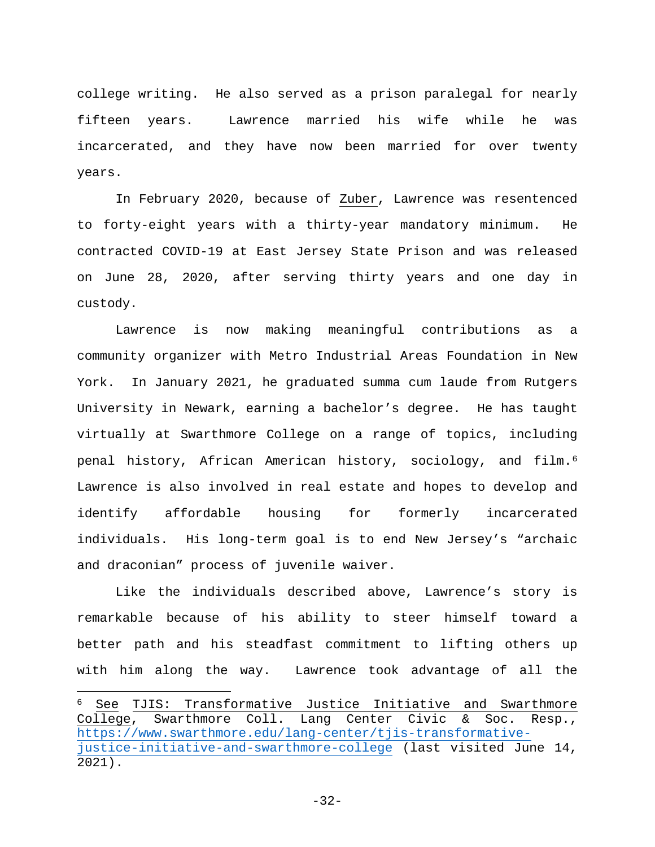college writing. He also served as a prison paralegal for nearly fifteen years. Lawrence married his wife while he was incarcerated, and they have now been married for over twenty years.

In February 2020, because of Zuber, Lawrence was resentenced to forty-eight years with a thirty-year mandatory minimum. He contracted COVID-19 at East Jersey State Prison and was released on June 28, 2020, after serving thirty years and one day in custody.

Lawrence is now making meaningful contributions as a community organizer with Metro Industrial Areas Foundation in New York. In January 2021, he graduated summa cum laude from Rutgers University in Newark, earning a bachelor's degree. He has taught virtually at Swarthmore College on a range of topics, including penal history, African American history, sociology, and film.[6](#page-35-1) Lawrence is also involved in real estate and hopes to develop and identify affordable housing for formerly incarcerated individuals. His long-term goal is to end New Jersey's "archaic and draconian" process of juvenile waiver.

Like the individuals described above, Lawrence's story is remarkable because of his ability to steer himself toward a better path and his steadfast commitment to lifting others up with him along the way. Lawrence took advantage of all the

<span id="page-35-0"></span> $\overline{\phantom{a}}$ 

<span id="page-35-1"></span> $6$  See TJIS: Transformative Justice Initiative and Swarthmore<br>College, Swarthmore Coll. Lang Center Civic & Soc. Resp., Swarthmore Coll. Lang Center Civic & Soc. Resp., [https://www.swarthmore.edu/lang-center/tjis-transformative](https://protect-us.mimecast.com/s/Ih2-CKrQwJHPXDjwcMkMDt)[justice-initiative-and-swarthmore-college](https://protect-us.mimecast.com/s/Ih2-CKrQwJHPXDjwcMkMDt) (last visited June 14, 2021).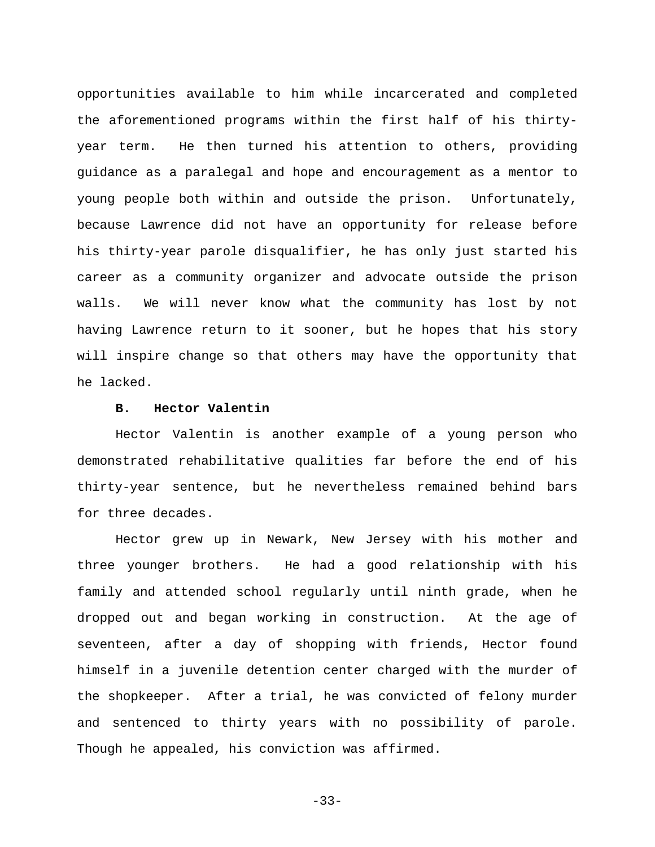opportunities available to him while incarcerated and completed the aforementioned programs within the first half of his thirtyyear term. He then turned his attention to others, providing guidance as a paralegal and hope and encouragement as a mentor to young people both within and outside the prison. Unfortunately, because Lawrence did not have an opportunity for release before his thirty-year parole disqualifier, he has only just started his career as a community organizer and advocate outside the prison walls. We will never know what the community has lost by not having Lawrence return to it sooner, but he hopes that his story will inspire change so that others may have the opportunity that he lacked.

# **B. Hector Valentin**

<span id="page-36-0"></span>Hector Valentin is another example of a young person who demonstrated rehabilitative qualities far before the end of his thirty-year sentence, but he nevertheless remained behind bars for three decades.

Hector grew up in Newark, New Jersey with his mother and three younger brothers. He had a good relationship with his family and attended school regularly until ninth grade, when he dropped out and began working in construction. At the age of seventeen, after a day of shopping with friends, Hector found himself in a juvenile detention center charged with the murder of the shopkeeper. After a trial, he was convicted of felony murder and sentenced to thirty years with no possibility of parole. Though he appealed, his conviction was affirmed.

-33-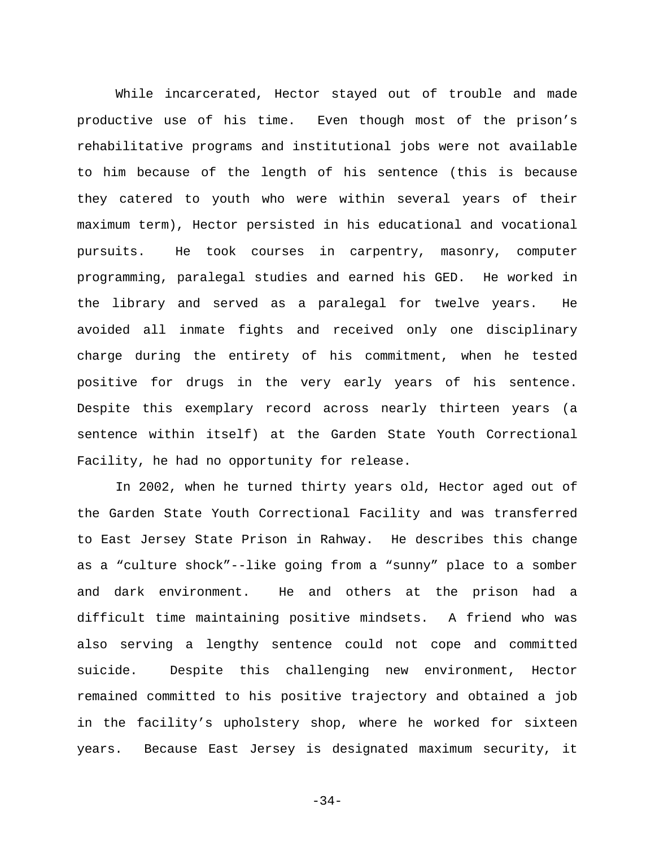While incarcerated, Hector stayed out of trouble and made productive use of his time. Even though most of the prison's rehabilitative programs and institutional jobs were not available to him because of the length of his sentence (this is because they catered to youth who were within several years of their maximum term), Hector persisted in his educational and vocational pursuits. He took courses in carpentry, masonry, computer programming, paralegal studies and earned his GED. He worked in the library and served as a paralegal for twelve years. He avoided all inmate fights and received only one disciplinary charge during the entirety of his commitment, when he tested positive for drugs in the very early years of his sentence. Despite this exemplary record across nearly thirteen years (a sentence within itself) at the Garden State Youth Correctional Facility, he had no opportunity for release.

In 2002, when he turned thirty years old, Hector aged out of the Garden State Youth Correctional Facility and was transferred to East Jersey State Prison in Rahway. He describes this change as a "culture shock"--like going from a "sunny" place to a somber and dark environment. He and others at the prison had a difficult time maintaining positive mindsets. A friend who was also serving a lengthy sentence could not cope and committed suicide. Despite this challenging new environment, Hector remained committed to his positive trajectory and obtained a job in the facility's upholstery shop, where he worked for sixteen years. Because East Jersey is designated maximum security, it

-34-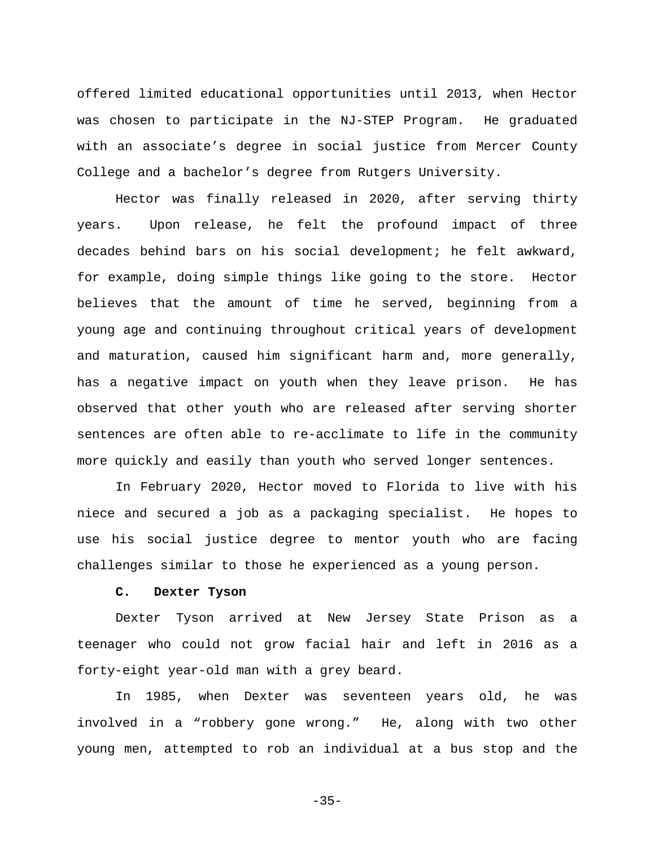offered limited educational opportunities until 2013, when Hector was chosen to participate in the NJ-STEP Program. He graduated with an associate's degree in social justice from Mercer County College and a bachelor's degree from Rutgers University.

Hector was finally released in 2020, after serving thirty years. Upon release, he felt the profound impact of three decades behind bars on his social development; he felt awkward, for example, doing simple things like going to the store. Hector believes that the amount of time he served, beginning from a young age and continuing throughout critical years of development and maturation, caused him significant harm and, more generally, has a negative impact on youth when they leave prison. He has observed that other youth who are released after serving shorter sentences are often able to re-acclimate to life in the community more quickly and easily than youth who served longer sentences.

In February 2020, Hector moved to Florida to live with his niece and secured a job as a packaging specialist. He hopes to use his social justice degree to mentor youth who are facing challenges similar to those he experienced as a young person.

#### **C. Dexter Tyson**

<span id="page-38-0"></span>Dexter Tyson arrived at New Jersey State Prison as a teenager who could not grow facial hair and left in 2016 as a forty-eight year-old man with a grey beard.

In 1985, when Dexter was seventeen years old, he was involved in a "robbery gone wrong." He, along with two other young men, attempted to rob an individual at a bus stop and the

-35-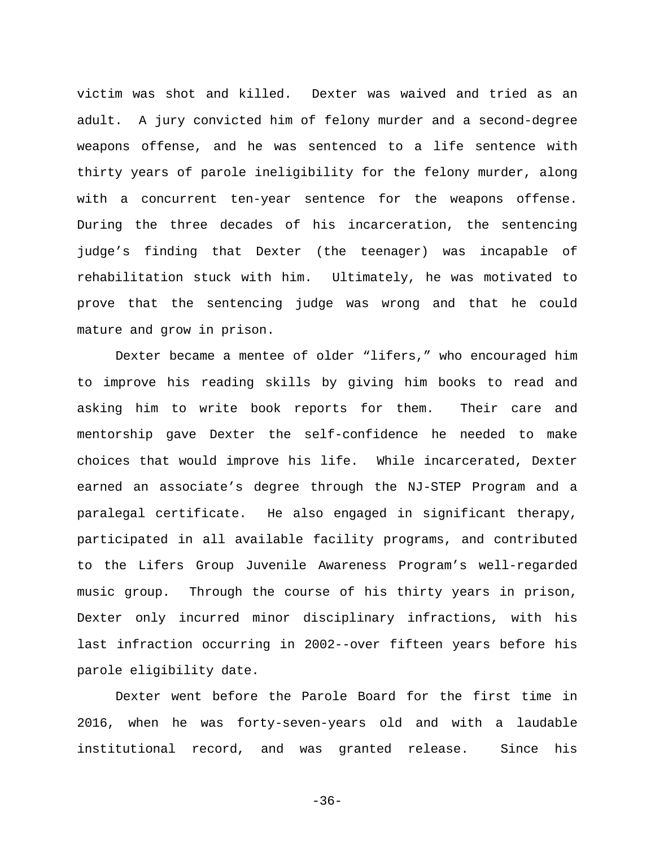victim was shot and killed. Dexter was waived and tried as an adult. A jury convicted him of felony murder and a second-degree weapons offense, and he was sentenced to a life sentence with thirty years of parole ineligibility for the felony murder, along with a concurrent ten-year sentence for the weapons offense. During the three decades of his incarceration, the sentencing judge's finding that Dexter (the teenager) was incapable of rehabilitation stuck with him. Ultimately, he was motivated to prove that the sentencing judge was wrong and that he could mature and grow in prison.

Dexter became a mentee of older "lifers," who encouraged him to improve his reading skills by giving him books to read and asking him to write book reports for them. Their care and mentorship gave Dexter the self-confidence he needed to make choices that would improve his life. While incarcerated, Dexter earned an associate's degree through the NJ-STEP Program and a paralegal certificate. He also engaged in significant therapy, participated in all available facility programs, and contributed to the Lifers Group Juvenile Awareness Program's well-regarded music group. Through the course of his thirty years in prison, Dexter only incurred minor disciplinary infractions, with his last infraction occurring in 2002--over fifteen years before his parole eligibility date.

Dexter went before the Parole Board for the first time in 2016, when he was forty-seven-years old and with a laudable institutional record, and was granted release. Since his

-36-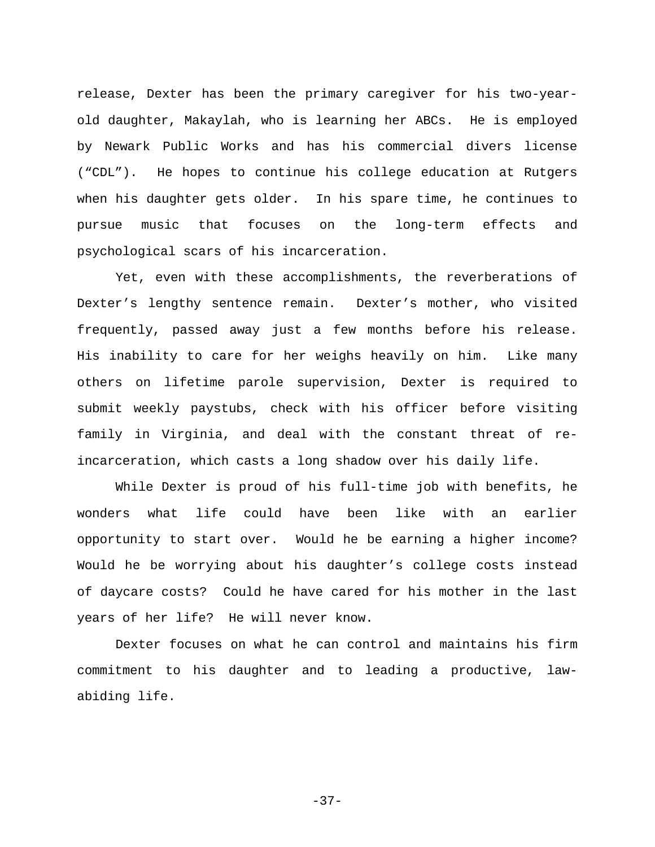release, Dexter has been the primary caregiver for his two-yearold daughter, Makaylah, who is learning her ABCs. He is employed by Newark Public Works and has his commercial divers license ("CDL"). He hopes to continue his college education at Rutgers when his daughter gets older. In his spare time, he continues to pursue music that focuses on the long-term effects and psychological scars of his incarceration.

Yet, even with these accomplishments, the reverberations of Dexter's lengthy sentence remain. Dexter's mother, who visited frequently, passed away just a few months before his release. His inability to care for her weighs heavily on him. Like many others on lifetime parole supervision, Dexter is required to submit weekly paystubs, check with his officer before visiting family in Virginia, and deal with the constant threat of reincarceration, which casts a long shadow over his daily life.

While Dexter is proud of his full-time job with benefits, he wonders what life could have been like with an earlier opportunity to start over. Would he be earning a higher income? Would he be worrying about his daughter's college costs instead of daycare costs? Could he have cared for his mother in the last years of her life? He will never know.

Dexter focuses on what he can control and maintains his firm commitment to his daughter and to leading a productive, lawabiding life.

-37-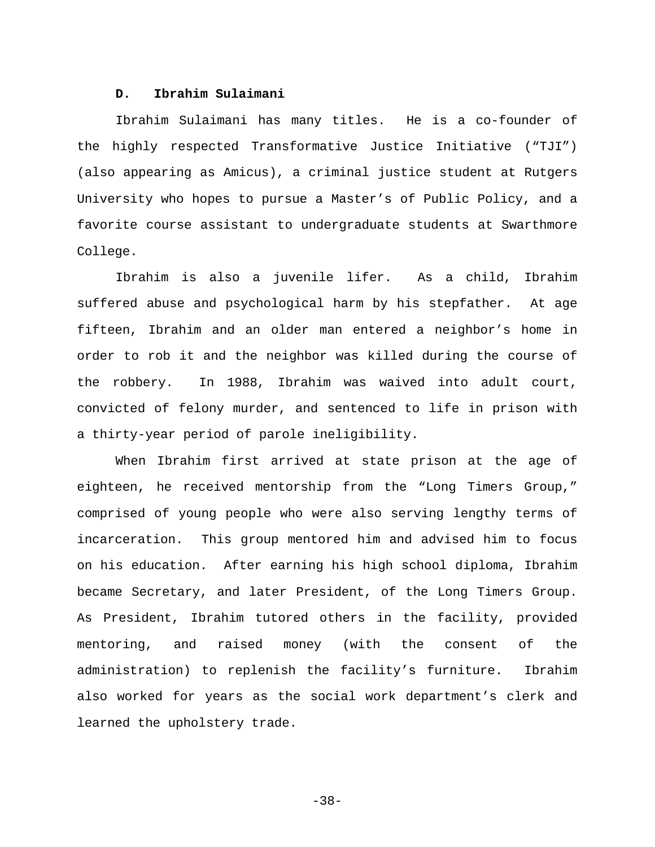# **D. Ibrahim Sulaimani**

<span id="page-41-0"></span>Ibrahim Sulaimani has many titles. He is a co-founder of the highly respected Transformative Justice Initiative ("TJI") (also appearing as Amicus), a criminal justice student at Rutgers University who hopes to pursue a Master's of Public Policy, and a favorite course assistant to undergraduate students at Swarthmore College.

Ibrahim is also a juvenile lifer. As a child, Ibrahim suffered abuse and psychological harm by his stepfather. At age fifteen, Ibrahim and an older man entered a neighbor's home in order to rob it and the neighbor was killed during the course of the robbery. In 1988, Ibrahim was waived into adult court, convicted of felony murder, and sentenced to life in prison with a thirty-year period of parole ineligibility.

When Ibrahim first arrived at state prison at the age of eighteen, he received mentorship from the "Long Timers Group," comprised of young people who were also serving lengthy terms of incarceration. This group mentored him and advised him to focus on his education. After earning his high school diploma, Ibrahim became Secretary, and later President, of the Long Timers Group. As President, Ibrahim tutored others in the facility, provided mentoring, and raised money (with the consent of the administration) to replenish the facility's furniture. Ibrahim also worked for years as the social work department's clerk and learned the upholstery trade.

-38-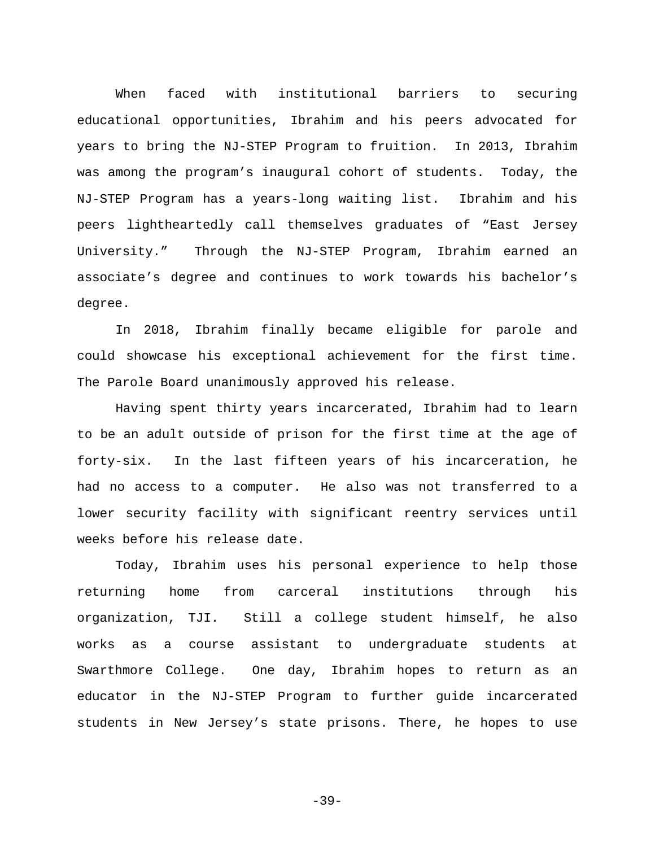When faced with institutional barriers to securing educational opportunities, Ibrahim and his peers advocated for years to bring the NJ-STEP Program to fruition. In 2013, Ibrahim was among the program's inaugural cohort of students. Today, the NJ-STEP Program has a years-long waiting list. Ibrahim and his peers lightheartedly call themselves graduates of "East Jersey University." Through the NJ-STEP Program, Ibrahim earned an associate's degree and continues to work towards his bachelor's degree.

In 2018, Ibrahim finally became eligible for parole and could showcase his exceptional achievement for the first time. The Parole Board unanimously approved his release.

Having spent thirty years incarcerated, Ibrahim had to learn to be an adult outside of prison for the first time at the age of forty-six. In the last fifteen years of his incarceration, he had no access to a computer. He also was not transferred to a lower security facility with significant reentry services until weeks before his release date.

Today, Ibrahim uses his personal experience to help those returning home from carceral institutions through his organization, TJI. Still a college student himself, he also works as a course assistant to undergraduate students at Swarthmore College. One day, Ibrahim hopes to return as an educator in the NJ-STEP Program to further guide incarcerated students in New Jersey's state prisons. There, he hopes to use

-39-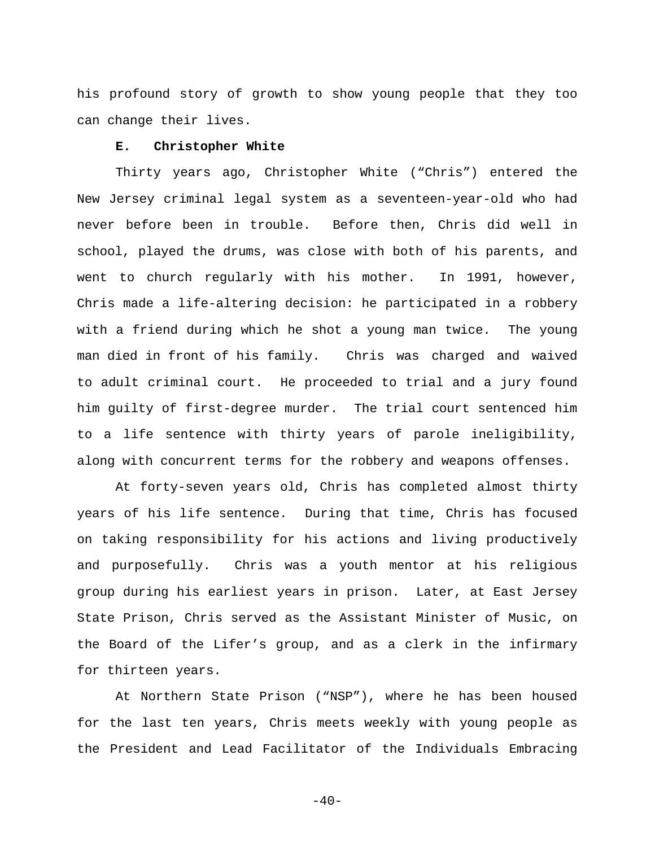his profound story of growth to show young people that they too can change their lives.

# **E. Christopher White**

<span id="page-43-0"></span>Thirty years ago, Christopher White ("Chris") entered the New Jersey criminal legal system as a seventeen-year-old who had never before been in trouble. Before then, Chris did well in school, played the drums, was close with both of his parents, and went to church regularly with his mother. In 1991, however, Chris made a life-altering decision: he participated in a robbery with a friend during which he shot a young man twice. The young man died in front of his family. Chris was charged and waived to adult criminal court. He proceeded to trial and a jury found him guilty of first-degree murder. The trial court sentenced him to a life sentence with thirty years of parole ineligibility, along with concurrent terms for the robbery and weapons offenses.

At forty-seven years old, Chris has completed almost thirty years of his life sentence. During that time, Chris has focused on taking responsibility for his actions and living productively and purposefully. Chris was a youth mentor at his religious group during his earliest years in prison. Later, at East Jersey State Prison, Chris served as the Assistant Minister of Music, on the Board of the Lifer's group, and as a clerk in the infirmary for thirteen years.

At Northern State Prison ("NSP"), where he has been housed for the last ten years, Chris meets weekly with young people as the President and Lead Facilitator of the Individuals Embracing

 $-40-$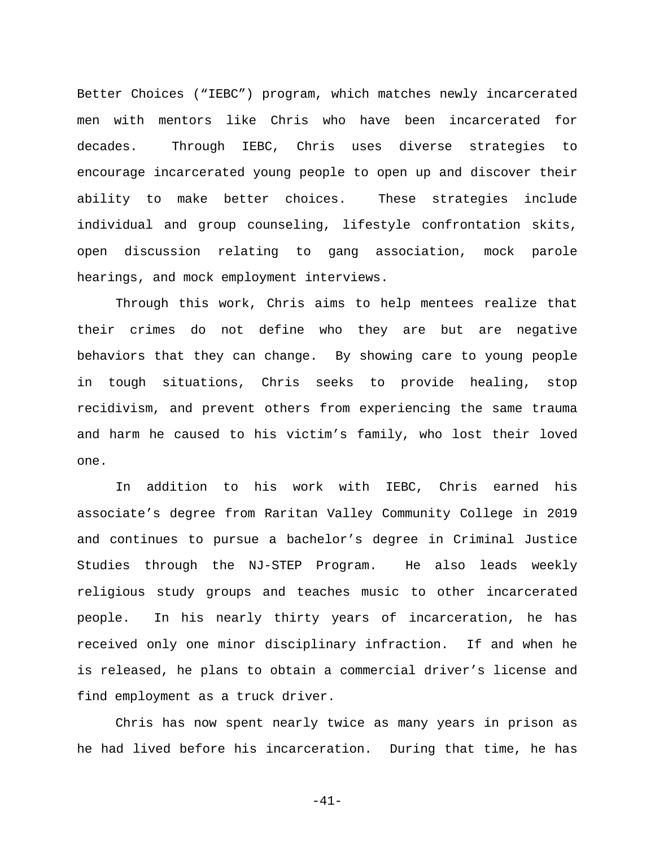Better Choices ("IEBC") program, which matches newly incarcerated men with mentors like Chris who have been incarcerated for decades. Through IEBC, Chris uses diverse strategies to encourage incarcerated young people to open up and discover their ability to make better choices. These strategies include individual and group counseling, lifestyle confrontation skits, open discussion relating to gang association, mock parole hearings, and mock employment interviews.

Through this work, Chris aims to help mentees realize that their crimes do not define who they are but are negative behaviors that they can change. By showing care to young people in tough situations, Chris seeks to provide healing, stop recidivism, and prevent others from experiencing the same trauma and harm he caused to his victim's family, who lost their loved one.

In addition to his work with IEBC, Chris earned his associate's degree from Raritan Valley Community College in 2019 and continues to pursue a bachelor's degree in Criminal Justice Studies through the NJ-STEP Program. He also leads weekly religious study groups and teaches music to other incarcerated people. In his nearly thirty years of incarceration, he has received only one minor disciplinary infraction. If and when he is released, he plans to obtain a commercial driver's license and find employment as a truck driver.

Chris has now spent nearly twice as many years in prison as he had lived before his incarceration. During that time, he has

-41-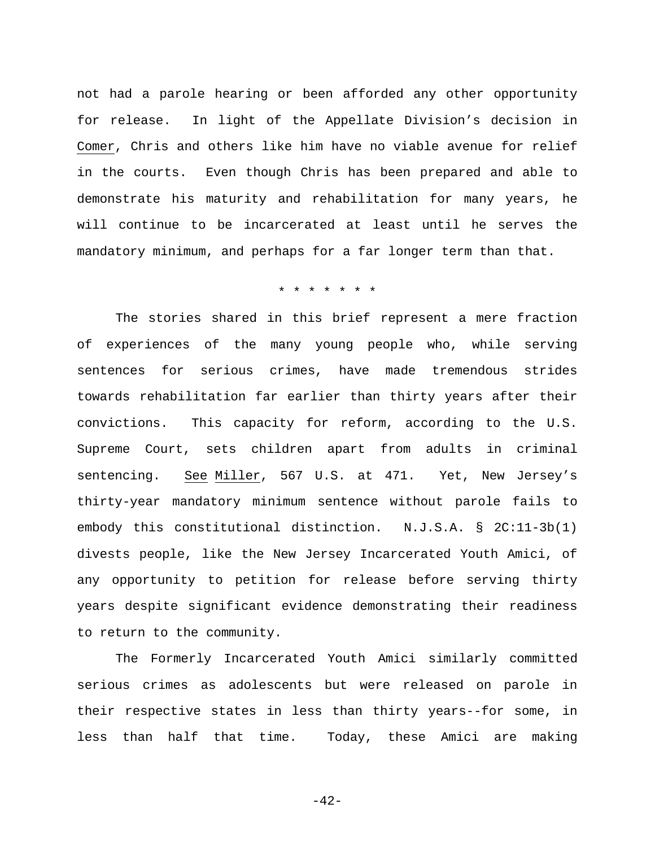not had a parole hearing or been afforded any other opportunity for release. In light of the Appellate Division's decision in Comer, Chris and others like him have no viable avenue for relief in the courts. Even though Chris has been prepared and able to demonstrate his maturity and rehabilitation for many years, he will continue to be incarcerated at least until he serves the mandatory minimum, and perhaps for a far longer term than that.

#### \* \* \* \* \* \* \*

The stories shared in this brief represent a mere fraction of experiences of the many young people who, while serving sentences for serious crimes, have made tremendous strides towards rehabilitation far earlier than thirty years after their convictions. This capacity for reform, according to the U.S. Supreme Court, sets children apart from adults in criminal sentencing. See Miller, 567 U.S. at 471. Yet, New Jersey's thirty-year mandatory minimum sentence without parole fails to embody this constitutional distinction. N.J.S.A. § 2C:11-3b(1) divests people, like the New Jersey Incarcerated Youth Amici, of any opportunity to petition for release before serving thirty years despite significant evidence demonstrating their readiness to return to the community.

The Formerly Incarcerated Youth Amici similarly committed serious crimes as adolescents but were released on parole in their respective states in less than thirty years--for some, in less than half that time. Today, these Amici are making

-42-